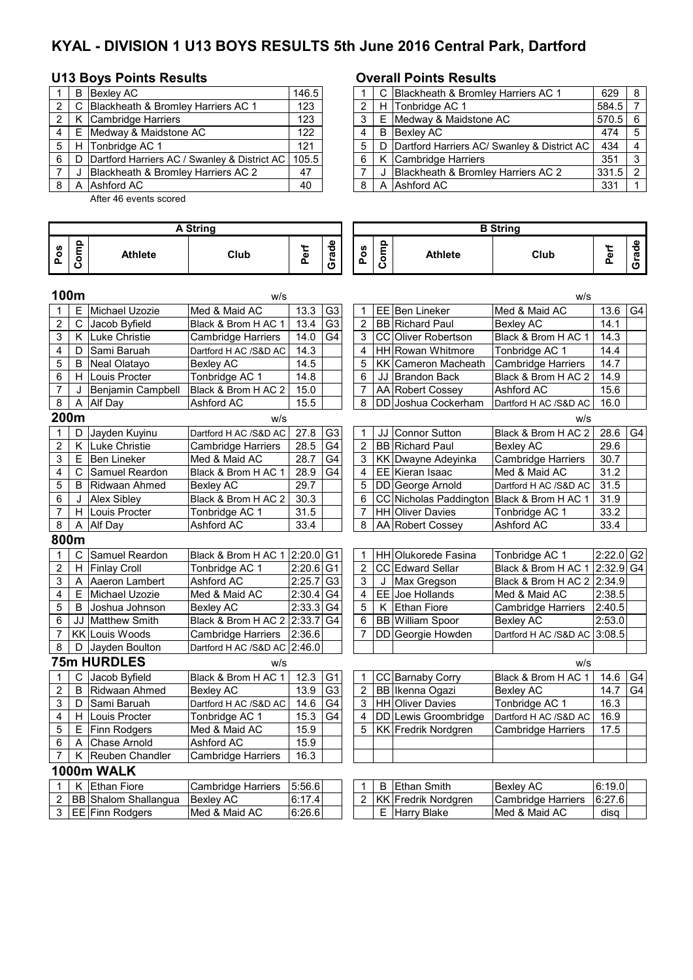# **KYAL - DIVISION 1 U13 BOYS RESULTS 5th June 2016 Central Park, Dartford**

## **U13 Boys Points Results Overall Points Results**

|                | в | <b>Bexley AC</b>                             | 146.5 |   | С  | Blackheath        |
|----------------|---|----------------------------------------------|-------|---|----|-------------------|
| 2              |   | C Blackheath & Bromley Harriers AC 1         | 123   | 2 | H. | Tonbridge A       |
| $\overline{2}$ |   | K Cambridge Harriers                         | 123   | 3 | Е  | Medway & N        |
| 4              |   | E   Medway & Maidstone AC                    | 122   | 4 | в  | <b>Bexley AC</b>  |
| 5              |   | H Tonbridge AC 1                             | 121   | 5 | D  | Dartford Har      |
| 6              | D | Dartford Harriers AC / Swanley & District AC | 105.5 | 6 | K. | Cambridge         |
|                |   | Blackheath & Bromley Harriers AC 2           | 47    |   |    | <b>Blackheath</b> |
| 8              | А | Ashford AC                                   | 40    | 8 | A  | Ashford AC        |

**A String**

After 46 events scored

|       | B | Bexley AC                                            | 146.5 |  |   | C Blackheath & Bromley Harriers AC 1            | 629       | -8                     |
|-------|---|------------------------------------------------------|-------|--|---|-------------------------------------------------|-----------|------------------------|
|       |   | 2   C Blackheath & Bromley Harriers AC 1             | 123   |  |   | H Tonbridge AC 1                                | 584.5     |                        |
|       |   | 2   K Cambridge Harriers                             | 123   |  |   | E Medway & Maidstone AC                         | $570.5$ 6 |                        |
| 4 I E |   | Medway & Maidstone AC                                | 122   |  | B | Bexlev AC                                       | 474       | - 5                    |
| 5   H |   | <b>Tonbridge AC 1</b>                                | 121   |  |   | D   Dartford Harriers AC/ Swanley & District AC | 434       | $\boldsymbol{\Lambda}$ |
| 6 I   | D | Dartford Harriers AC / Swanley & District AC   105.5 |       |  |   | K Cambridge Harriers                            | 351       | -3                     |
|       |   | Blackheath & Bromley Harriers AC 2                   | 47    |  |   | Blackheath & Bromley Harriers AC 2              | $331.5$ 2 |                        |
| 8     |   | Ashford AC                                           | 40    |  |   | A Ashford AC                                    | 331       |                        |

**B String**

|                | A String |                       |                               |             |                | B String       |      |                                            |                               |                         |                |
|----------------|----------|-----------------------|-------------------------------|-------------|----------------|----------------|------|--------------------------------------------|-------------------------------|-------------------------|----------------|
| Pos            | Comp     | <b>Athlete</b>        | Club                          | Perf        | Grade          | Pos            | Comp | <b>Athlete</b>                             | Club                          | Perf                    | Grade          |
|                | 100m     |                       | w/s                           |             |                |                |      |                                            | w/s                           |                         |                |
| 1              | Е        | Michael Uzozie        | Med & Maid AC                 | 13.3        | G <sub>3</sub> | 1              |      | EE Ben Lineker                             | Med & Maid AC                 | 13.6                    | G4             |
| $\overline{c}$ | C        | Jacob Byfield         | Black & Brom H AC 1           | 13.4        | G3             | 2              |      | <b>BB</b> Richard Paul                     | <b>Bexley AC</b>              | 14.1                    |                |
| 3              |          | K Luke Christie       | Cambridge Harriers            | 14.0        | G4             | 3              |      | CC Oliver Robertson                        | Black & Brom H AC 1           | 14.3                    |                |
| 4              | D        | Sami Baruah           | Dartford H AC /S&D AC         | 14.3        |                | 4              |      | HH Rowan Whitmore                          | Tonbridge AC 1                | 14.4                    |                |
| 5              | B        | Neal Olatayo          | <b>Bexley AC</b>              | 14.5        |                | 5              |      | <b>KK Cameron Macheath</b>                 | <b>Cambridge Harriers</b>     | 14.7                    |                |
| 6              |          | H Louis Procter       | Tonbridge AC 1                | 14.8        |                | 6              |      | JJ Brandon Back                            | Black & Brom H AC 2           | 14.9                    |                |
| 7              | J        | Benjamin Campbell     | Black & Brom H AC 2           | 15.0        |                | $\overline{7}$ |      | AA Robert Cossey                           | Ashford AC                    | 15.6                    |                |
| 8              | Α        | Alf Day               | Ashford AC                    | 15.5        |                | 8              | DD   | Joshua Cockerham                           | Dartford H AC /S&D AC         | 16.0                    |                |
|                | 200m     |                       | W/S                           |             |                |                |      |                                            | w/s                           |                         |                |
| $\mathbf 1$    | D        | Jayden Kuyinu         | Dartford H AC /S&D AC         | 27.8        | G <sub>3</sub> | $\mathbf{1}$   |      | JJ Connor Sutton                           | Black & Brom H AC 2           | 28.6                    | G4             |
| $\overline{2}$ | K        | Luke Christie         | Cambridge Harriers            | 28.5        | G4             | $\overline{2}$ |      | <b>BB Richard Paul</b>                     | <b>Bexley AC</b>              | 29.6                    |                |
| 3              | E.       | <b>Ben Lineker</b>    | Med & Maid AC                 | 28.7        | G4             | 3              |      | KK Dwayne Adeyinka                         | <b>Cambridge Harriers</b>     | 30.7                    |                |
| 4              | C        | Samuel Reardon        | Black & Brom H AC 1           | 28.9        | G4             | 4              |      | EE Kieran Isaac                            | Med & Maid AC                 | $\overline{31.2}$       |                |
| 5              | B        | Ridwaan Ahmed         | Bexley AC                     | 29.7        |                | 5              |      | DD George Arnold                           | Dartford H AC /S&D AC         | 31.5                    |                |
| 6              | J        | <b>Alex Sibley</b>    | Black & Brom H AC 2           | 30.3        |                | 6              |      | CC Nicholas Paddington Black & Brom H AC 1 |                               | 31.9                    |                |
| 7              |          | H Louis Procter       | Tonbridge AC 1                | 31.5        |                | $\overline{7}$ |      | HH Oliver Davies                           | Tonbridge AC 1                | 33.2                    |                |
| 8              |          | A Alf Day             | Ashford AC                    | 33.4        |                | $\overline{8}$ |      | AA Robert Cossey                           | Ashford AC                    | 33.4                    |                |
|                | 800m     |                       |                               |             |                |                |      |                                            |                               |                         |                |
| $\mathbf{1}$   | C        | Samuel Reardon        | Black & Brom H AC 1 2:20.0 G1 |             |                | $\mathbf{1}$   |      | HH Olukorede Fasina                        | Tonbridge AC 1                | $2:22.0$ G <sub>2</sub> |                |
| $\overline{c}$ | H        | <b>Finlay Croll</b>   | Tonbridge AC 1                | $2:20.6$ G1 |                | $\overline{c}$ |      | CC Edward Sellar                           | Black & Brom H AC 1 2:32.9 G4 |                         |                |
| 3              | A        | Aaeron Lambert        | Ashford AC                    | 2:25.7      | G <sub>3</sub> | 3              | J    | Max Gregson                                | Black & Brom H AC 2 2:34.9    |                         |                |
| 4              | E.       | Michael Uzozie        | Med & Maid AC                 | 2:30.4      | G4             | $\overline{4}$ |      | EE Joe Hollands                            | Med & Maid AC                 | 2:38.5                  |                |
| 5              | B        | Joshua Johnson        | <b>Bexley AC</b>              | $2:33.3$ G4 |                | 5              |      | K Ethan Fiore                              | Cambridge Harriers            | 2:40.5                  |                |
| 6              | JJ       | Matthew Smith         | Black & Brom H AC 2           | 2:33.7      | G <sub>4</sub> | 6              |      | BB William Spoor                           | <b>Bexley AC</b>              | 2:53.0                  |                |
| $\overline{7}$ |          | <b>KK Louis Woods</b> | Cambridge Harriers            | 2:36.6      |                | $\overline{7}$ |      | DD Georgie Howden                          | Dartford H AC /S&D AC 3:08.5  |                         |                |
| 8              | D        | Jayden Boulton        | Dartford H AC /S&D AC 2:46.0  |             |                |                |      |                                            |                               |                         |                |
|                |          | <b>75m HURDLES</b>    | W/S                           |             |                |                |      |                                            | W/S                           |                         |                |
| 1              | C        | Jacob Byfield         | Black & Brom H AC 1           | 12.3        | G <sub>1</sub> | $\mathbf{1}$   |      | CC Barnaby Corry                           | Black & Brom H AC 1           | 14.6                    | G4             |
| $\overline{2}$ | B        | Ridwaan Ahmed         | Bexley AC                     | 13.9        | G <sub>3</sub> | $\overline{2}$ |      | <b>BB</b> Ikenna Ogazi                     | <b>Bexley AC</b>              | 14.7                    | G <sub>4</sub> |
| 3              | D        | Sami Baruah           | Dartford H AC /S&D AC         | 14.6        | G <sub>4</sub> | 3              |      | <b>HH Oliver Davies</b>                    | Tonbridge AC 1                | 16.3                    |                |
| 4              |          | H Louis Procter       | Tonbridge AC 1                | 15.3        | G4             | 4              |      | DD Lewis Groombridge                       | Dartford H AC /S&D AC         | 16.9                    |                |
| 5              | E        | Finn Rodgers          | Med & Maid AC                 | 15.9        |                | 5              |      | KK Fredrik Nordgren                        | Cambridge Harriers            | 17.5                    |                |
| 6              | A        | Chase Arnold          | Ashford AC                    | 15.9        |                |                |      |                                            |                               |                         |                |
| $\overline{7}$ |          | K Reuben Chandler     | Cambridge Harriers            | 16.3        |                |                |      |                                            |                               |                         |                |
|                |          | 1000m WALK            |                               |             |                |                |      |                                            |                               |                         |                |
| $\mathbf 1$    | K.       | <b>Ethan Fiore</b>    | Cambridge Harriers            | 5:56.6      |                | 1              | в    | <b>Ethan Smith</b>                         | Bexley AC                     | 6:19.0                  |                |
| $\overline{c}$ |          | BB Shalom Shallangua  | <b>Bexley AC</b>              | 6:17.4      |                | $\overline{c}$ |      | KK Fredrik Nordgren                        | <b>Cambridge Harriers</b>     | 6:27.6                  |                |
| 3              |          | EE Finn Rodgers       | Med & Maid AC                 | 6:26.6      |                |                | E    | <b>Harry Blake</b>                         | Med & Maid AC                 | disq                    |                |

 $\blacksquare$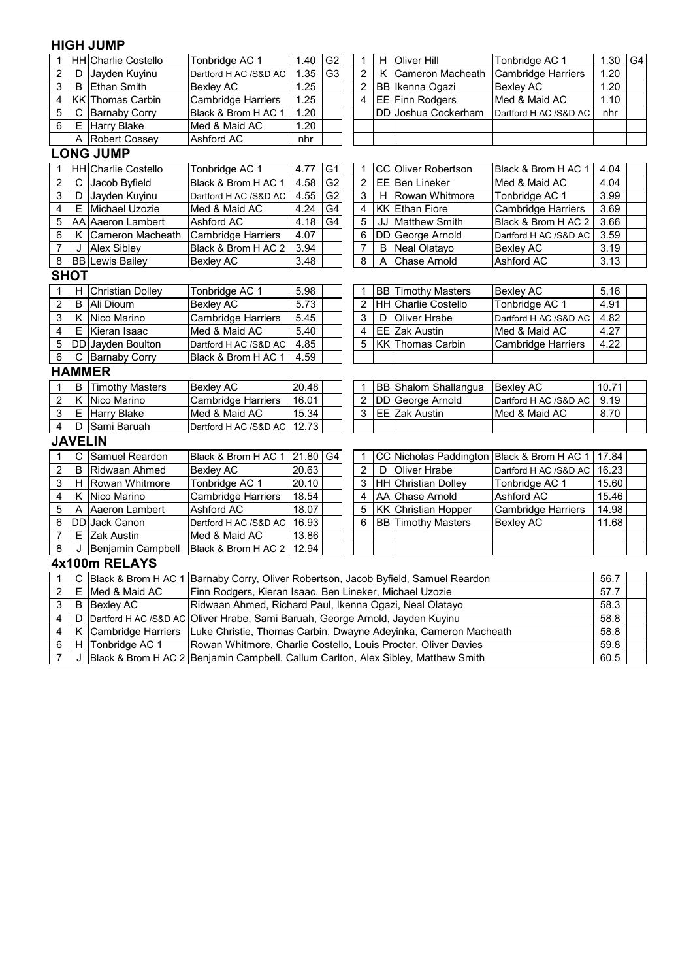### **HIGH JUMP**

| 1                       |                | HH Charlie Costello        | G <sub>2</sub><br>Tonbridge AC 1<br>1.30<br>Tonbridge AC 1<br>1.40<br>$\mathbf{1}$<br>H Oliver Hill |                                                                                                                                                     |                |                           |   |                                            |                           |       |  |  |  |
|-------------------------|----------------|----------------------------|-----------------------------------------------------------------------------------------------------|-----------------------------------------------------------------------------------------------------------------------------------------------------|----------------|---------------------------|---|--------------------------------------------|---------------------------|-------|--|--|--|
| $\overline{c}$          | D              | Jayden Kuyinu              | Dartford H AC /S&D AC                                                                               | $\overline{c}$<br>G <sub>3</sub><br>1.35<br>Κ<br>Cameron Macheath<br>1.20<br><b>Cambridge Harriers</b>                                              |                |                           |   |                                            |                           |       |  |  |  |
| 3                       | B              | Ethan Smith                | <b>Bexley AC</b>                                                                                    | 1.25                                                                                                                                                |                | $\overline{c}$            |   | BB Ikenna Ogazi                            | <b>Bexley AC</b>          | 1.20  |  |  |  |
| 4                       |                | <b>KK Thomas Carbin</b>    | Cambridge Harriers                                                                                  | 1.25                                                                                                                                                |                | $\overline{4}$            |   | EE Finn Rodgers                            | Med & Maid AC             | 1.10  |  |  |  |
| 5                       |                | C Barnaby Corry            | Black & Brom H AC 1                                                                                 | 1.20                                                                                                                                                |                |                           |   | DD Joshua Cockerham                        | Dartford H AC /S&D AC     | nhr   |  |  |  |
| 6                       |                | E Harry Blake              | Med & Maid AC                                                                                       | 1.20                                                                                                                                                |                |                           |   |                                            |                           |       |  |  |  |
|                         | $\overline{A}$ | <b>Robert Cossey</b>       | Ashford AC                                                                                          | nhr                                                                                                                                                 |                |                           |   |                                            |                           |       |  |  |  |
|                         |                | <b>LONG JUMP</b>           |                                                                                                     |                                                                                                                                                     |                |                           |   |                                            |                           |       |  |  |  |
| 1                       |                | <b>HH</b> Charlie Costello | Tonbridge AC 1                                                                                      | 4.77                                                                                                                                                | G1             | 1                         |   | CC Oliver Robertson                        | Black & Brom H AC 1       | 4.04  |  |  |  |
| $\overline{\mathbf{c}}$ | C              | Jacob Byfield              | Black & Brom H AC 1                                                                                 | 4.58                                                                                                                                                | G <sub>2</sub> | $\overline{2}$            |   | EE Ben Lineker                             | Med & Maid AC             | 4.04  |  |  |  |
| 3                       | D              | Jayden Kuyinu              | Dartford H AC /S&D AC                                                                               | 4.55                                                                                                                                                | G <sub>2</sub> | 3                         | H | Rowan Whitmore                             | Tonbridge AC 1            | 3.99  |  |  |  |
| 4                       | Е              | Michael Uzozie             | Med & Maid AC                                                                                       | 4.24                                                                                                                                                | G4             | 4                         |   | <b>KK Ethan Fiore</b>                      | Cambridge Harriers        | 3.69  |  |  |  |
| 5                       |                | AA Aaeron Lambert          | Ashford AC                                                                                          | 4.18                                                                                                                                                | G4             | 5                         |   | JJ Matthew Smith                           | Black & Brom H AC 2       | 3.66  |  |  |  |
| 6                       | K              | Cameron Macheath           | <b>Cambridge Harriers</b>                                                                           | 6<br>DD George Arnold<br>4.07<br>Dartford H AC /S&D AC<br>3.59                                                                                      |                |                           |   |                                            |                           |       |  |  |  |
| 7                       | J              | <b>Alex Sibley</b>         | Black & Brom H AC 2                                                                                 | 3.94<br>7<br>Neal Olatayo<br>3.19<br>B<br>Bexley AC                                                                                                 |                |                           |   |                                            |                           |       |  |  |  |
| $\overline{8}$          |                | <b>BB</b> Lewis Bailey     | Bexley AC                                                                                           | $\overline{8}$<br>3.48<br>$\overline{A}$<br>Chase Arnold<br><b>Ashford AC</b><br>3.13                                                               |                |                           |   |                                            |                           |       |  |  |  |
|                         | <b>SHOT</b>    |                            |                                                                                                     |                                                                                                                                                     |                |                           |   |                                            |                           |       |  |  |  |
| 1                       | H              | Christian Dolley           | Tonbridge AC 1                                                                                      | 5.98                                                                                                                                                |                | 1                         |   | <b>BB</b> Timothy Masters                  | <b>Bexley AC</b>          | 5.16  |  |  |  |
| $\overline{\mathbf{c}}$ | B              | Ali Dioum                  | <b>Bexley AC</b>                                                                                    | 5.73                                                                                                                                                |                | $\overline{2}$            |   | HH Charlie Costello                        | Tonbridge AC 1            | 4.91  |  |  |  |
| 3                       | K              | Nico Marino                | Cambridge Harriers                                                                                  | 5.45                                                                                                                                                |                | 3                         | D | Oliver Hrabe                               | Dartford H AC /S&D AC     | 4.82  |  |  |  |
| 4                       | Е              | Kieran Isaac               | Med & Maid AC                                                                                       | 5.40                                                                                                                                                |                | 4                         |   | EE Zak Austin                              | Med & Maid AC             | 4.27  |  |  |  |
| 5                       |                | DD Jayden Boulton          | Dartford H AC /S&D AC                                                                               | 4.85                                                                                                                                                |                | 5                         |   | KK Thomas Carbin                           | <b>Cambridge Harriers</b> | 4.22  |  |  |  |
| 6                       | C              | <b>Barnaby Corry</b>       | Black & Brom H AC 1                                                                                 | 4.59                                                                                                                                                |                |                           |   |                                            |                           |       |  |  |  |
|                         |                | <b>HAMMER</b>              |                                                                                                     |                                                                                                                                                     |                |                           |   |                                            |                           |       |  |  |  |
| 1                       | В              | <b>Timothy Masters</b>     | <b>Bexley AC</b>                                                                                    | 20.48                                                                                                                                               |                | 1                         |   | BB Shalom Shallangua                       | Bexley AC                 | 10.71 |  |  |  |
| $\overline{c}$          | Κ              | Nico Marino                | Cambridge Harriers                                                                                  | 16.01                                                                                                                                               |                | $\overline{2}$            |   | DD George Arnold                           | Dartford H AC /S&D AC     | 9.19  |  |  |  |
| $\mathsf 3$             | Е              | Harry Blake                | Med & Maid AC                                                                                       | 15.34                                                                                                                                               |                | 3                         |   | EE Zak Austin                              | Med & Maid AC             | 8.70  |  |  |  |
| 4                       | D              | Sami Baruah                | Dartford H AC /S&D AC                                                                               | 12.73                                                                                                                                               |                |                           |   |                                            |                           |       |  |  |  |
|                         | <b>JAVELIN</b> |                            |                                                                                                     |                                                                                                                                                     |                |                           |   |                                            |                           |       |  |  |  |
| 1                       | C              | Samuel Reardon             | Black & Brom H AC 1                                                                                 | 21.80                                                                                                                                               | G4             | 1                         |   | CC Nicholas Paddington Black & Brom H AC 1 |                           | 17.84 |  |  |  |
| $\overline{c}$          | В              | Ridwaan Ahmed              | Bexley AC                                                                                           | 20.63                                                                                                                                               |                | $\overline{c}$            | D | Oliver Hrabe                               | Dartford H AC /S&D AC     | 16.23 |  |  |  |
| 3                       |                | H Rowan Whitmore           | Tonbridge AC 1                                                                                      | 20.10                                                                                                                                               |                | $\ensuremath{\mathsf{3}}$ |   | <b>HH</b> Christian Dolley                 | Tonbridge AC 1            | 15.60 |  |  |  |
| 4                       | Κ              | Nico Marino                | Cambridge Harriers                                                                                  | 18.54                                                                                                                                               |                | 4                         |   | AA Chase Arnold                            | Ashford AC                | 15.46 |  |  |  |
| 5                       | A              | Aaeron Lambert             | Ashford AC                                                                                          | 18.07                                                                                                                                               |                | 5                         |   | KK Christian Hopper                        | Cambridge Harriers        | 14.98 |  |  |  |
| 6                       |                | DD Jack Canon              | Dartford H AC /S&D AC                                                                               | 16.93                                                                                                                                               |                | 6                         |   | <b>BB</b> Timothy Masters                  | Bexley AC                 | 11.68 |  |  |  |
| $\overline{7}$          | Е              | <b>Zak Austin</b>          | Med & Maid AC                                                                                       | 13.86                                                                                                                                               |                |                           |   |                                            |                           |       |  |  |  |
| 8                       | J              | Benjamin Campbell          | Black & Brom H AC 2<br>12.94                                                                        |                                                                                                                                                     |                |                           |   |                                            |                           |       |  |  |  |
|                         |                | 4x100m RELAYS              |                                                                                                     |                                                                                                                                                     |                |                           |   |                                            |                           |       |  |  |  |
| $\mathbf 1$             | C              |                            | Black & Brom H AC 1 Barnaby Corry, Oliver Robertson, Jacob Byfield, Samuel Reardon                  |                                                                                                                                                     |                |                           |   |                                            |                           | 56.7  |  |  |  |
| $\overline{2}$          | Е              | Med & Maid AC              | Finn Rodgers, Kieran Isaac, Ben Lineker, Michael Uzozie                                             |                                                                                                                                                     |                |                           |   |                                            |                           | 57.7  |  |  |  |
| 3                       | B              | <b>Bexley AC</b>           | Ridwaan Ahmed, Richard Paul, Ikenna Ogazi, Neal Olatayo                                             |                                                                                                                                                     |                |                           |   |                                            |                           | 58.3  |  |  |  |
| 4                       | D              |                            | Dartford H AC /S&D AC Oliver Hrabe, Sami Baruah, George Arnold, Jayden Kuyinu                       |                                                                                                                                                     |                |                           |   |                                            |                           | 58.8  |  |  |  |
| 4                       | Κ              | Cambridge Harriers         | Luke Christie, Thomas Carbin, Dwayne Adeyinka, Cameron Macheath                                     |                                                                                                                                                     |                |                           |   |                                            |                           | 58.8  |  |  |  |
| 6                       |                | H Tonbridge AC 1           |                                                                                                     |                                                                                                                                                     |                |                           |   |                                            |                           | 59.8  |  |  |  |
| $\overline{7}$          | J              |                            |                                                                                                     | Rowan Whitmore, Charlie Costello, Louis Procter, Oliver Davies<br>Black & Brom H AC 2 Benjamin Campbell, Callum Carlton, Alex Sibley, Matthew Smith |                |                           |   |                                            |                           |       |  |  |  |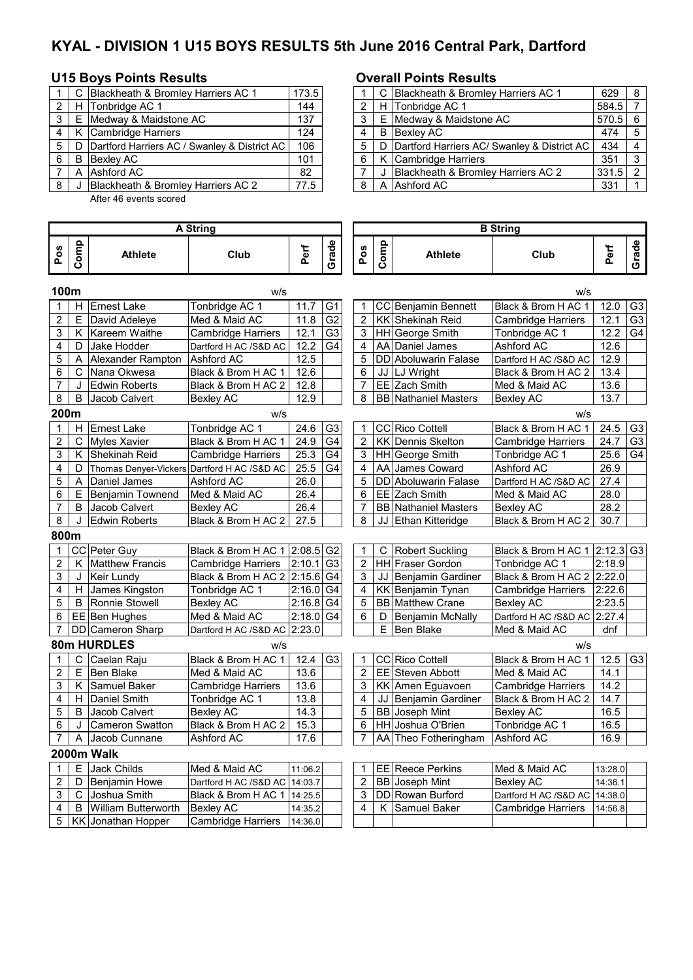# **KYAL - DIVISION 1 U15 BOYS RESULTS 5th June 2016 Central Park, Dartford**

## **U15 Boys Points Results Overall Points Results**

|   |   | C Blackheath & Bromley Harriers AC 1         | 173.5 |                | C Blackheath & Bromley Harriers AC 1    |
|---|---|----------------------------------------------|-------|----------------|-----------------------------------------|
|   | H | Tonbridge AC 1                               | 144   |                | H Tonbridge AC 1                        |
|   |   | E Medway & Maidstone AC                      | 137   | 3              | E Medway & Maidstone AC                 |
|   |   | K Cambridge Harriers                         | 124   | $\overline{4}$ | <b>B</b> Bexlev AC                      |
| 5 | D | Dartford Harriers AC / Swanley & District AC | 106   | 5              | D Dartford Harriers AC/ Swanley & Disti |
| 6 | B | <b>Bexley AC</b>                             | 101   | 6              | K Cambridge Harriers                    |
|   |   | A Ashford AC                                 | 82    |                | Blackheath & Bromley Harriers AC 2      |
| 8 |   | Blackheath & Bromley Harriers AC 2           | 77.5  | 8              | A Ashford AC                            |

After 46 events scored

|     |       | C Blackheath & Bromley Harriers AC 1               | 173.5 |  | C Blackheath & Bromley Harriers AC 1            | 629       | - 8                    |
|-----|-------|----------------------------------------------------|-------|--|-------------------------------------------------|-----------|------------------------|
|     |       | 2   H Tonbridge AC 1                               | 144   |  | H Tonbridge AC 1                                | 584.5     |                        |
|     | 3 I E | Medway & Maidstone AC                              | 137   |  | E Medway & Maidstone AC                         | $570.5$ 6 |                        |
| 4 I |       | K Cambridge Harriers                               | 124   |  | <b>B</b> Bexlev AC                              | 474       | - 5                    |
|     |       | 5   D Dartford Harriers AC / Swanley & District AC | 106   |  | D   Dartford Harriers AC/ Swanley & District AC | 434       | $\boldsymbol{\Lambda}$ |
| 6 I | ΙB    | Bexley AC                                          | 101   |  | K Cambridge Harriers                            | 351       | $\mathbf{B}$           |
|     |       | A Ashford AC                                       | 82    |  | Blackheath & Bromley Harriers AC 2              | $331.5$ 2 |                        |
| 8   |       | Blackheath & Bromley Harriers AC 2                 | 77.5  |  | A Ashford AC                                    | 331       |                        |

|                | A String     |                                             |                               |                         |                |                | <b>B</b> String |                             |                               |         |                |  |
|----------------|--------------|---------------------------------------------|-------------------------------|-------------------------|----------------|----------------|-----------------|-----------------------------|-------------------------------|---------|----------------|--|
| Pos            | Comp         | <b>Athlete</b>                              | Club                          | Perf                    | Grade          | Pos            | Comp            | <b>Athlete</b>              | Club                          | Perf    | Grade          |  |
| 100m           |              |                                             | W/S                           |                         |                |                |                 |                             | W/S                           |         |                |  |
| 1              | H            | Ernest Lake                                 | Tonbridge AC 1                | 11.7                    | G1             | 1              |                 | CC Benjamin Bennett         | Black & Brom H AC 1           | 12.0    | G <sub>3</sub> |  |
| $\overline{c}$ | Е            | David Adeleye                               | Med & Maid AC                 | 11.8                    | G2             | 2              |                 | <b>KK</b> Shekinah Reid     | Cambridge Harriers            | 12.1    | G3             |  |
| 3              |              | K Kareem Waithe                             | Cambridge Harriers            | 12.1                    | G3             | 3              |                 | HH George Smith             | Tonbridge AC 1                | 12.2    | G <sub>4</sub> |  |
| 4              | D            | Jake Hodder                                 | Dartford H AC /S&D AC         | 12.2                    | G <sub>4</sub> | 4              |                 | AA Daniel James             | Ashford AC                    | 12.6    |                |  |
| 5              | A            | Alexander Rampton                           | Ashford AC                    | 12.5                    |                | 5              |                 | <b>DD</b> Aboluwarin Falase | Dartford H AC /S&D AC         | 12.9    |                |  |
| 6              | $\mathsf C$  | Nana Okwesa                                 | Black & Brom H AC 1           | 12.6                    |                | 6              |                 | JJ LJ Wright                | Black & Brom H AC 2           | 13.4    |                |  |
| 7              | J            | <b>Edwin Roberts</b>                        | Black & Brom H AC 2           | 12.8                    |                | $\overline{7}$ |                 | EE Zach Smith               | Med & Maid AC                 | 13.6    |                |  |
| 8              | B            | Jacob Calvert                               | <b>Bexley AC</b>              | 12.9                    |                | 8              |                 | <b>BB</b> Nathaniel Masters | Bexley AC                     | 13.7    |                |  |
| 200m           |              |                                             | W/S                           |                         |                |                |                 |                             | W/S                           |         |                |  |
| 1              |              | H Ernest Lake                               | Tonbridge AC 1                | 24.6                    | G3             | 1              |                 | CC Rico Cottell             | Black & Brom H AC 1           | 24.5    | G <sub>3</sub> |  |
| 2              | C            | <b>Myles Xavier</b>                         | Black & Brom H AC 1           | 24.9                    | G <sub>4</sub> | $\overline{c}$ |                 | KK Dennis Skelton           | Cambridge Harriers            | 24.7    | G <sub>3</sub> |  |
| 3              |              | K Shekinah Reid                             | <b>Cambridge Harriers</b>     | 25.3                    | G4             | 3              |                 | HH George Smith             | Tonbridge AC 1                | 25.6    | G4             |  |
| 4              | D            | Thomas Denyer-Vickers Dartford H AC /S&D AC |                               | 25.5                    | G4             | 4              |                 | AA James Coward             | Ashford AC                    | 26.9    |                |  |
| 5              | A            | Daniel James                                | Ashford AC                    | 26.0                    |                | 5              |                 | DD Aboluwarin Falase        | Dartford H AC /S&D AC         | 27.4    |                |  |
| 6              | Е            | Benjamin Townend                            | Med & Maid AC                 | 26.4                    |                | 6              |                 | EE Zach Smith               | Med & Maid AC                 | 28.0    |                |  |
| 7              | B            | Jacob Calvert                               | <b>Bexley AC</b>              | 26.4                    |                | 7              |                 | <b>BB</b> Nathaniel Masters | <b>Bexley AC</b>              | 28.2    |                |  |
| 8              | J            | <b>Edwin Roberts</b>                        | Black & Brom H AC 2           | 27.5                    |                | 8              |                 | JJ Ethan Kitteridge         | Black & Brom H AC 2           | 30.7    |                |  |
| 800m           |              |                                             |                               |                         |                |                |                 |                             |                               |         |                |  |
| 1              |              | CC Peter Guy                                | Black & Brom H AC 1 2:08.5 G2 |                         |                | 1              | С               | <b>Robert Suckling</b>      | Black & Brom H AC 1 2:12.3 G3 |         |                |  |
| 2              |              | K Matthew Francis                           | <b>Cambridge Harriers</b>     | $2:10.1$ G <sub>3</sub> |                | 2              |                 | HH Fraser Gordon            | Tonbridge AC 1                | 2:18.9  |                |  |
| 3              | J            | Keir Lundy                                  | Black & Brom H AC 2           | $2:15.6$ G4             |                | 3              |                 | JJ Benjamin Gardiner        | Black & Brom H AC 2 2:22.0    |         |                |  |
| 4              |              | H James Kingston                            | Tonbridge AC 1                | $2:16.0$ G4             |                | 4              |                 | KK Benjamin Tynan           | Cambridge Harriers            | 2:22.6  |                |  |
| 5              | B            | Ronnie Stowell                              | <b>Bexley AC</b>              | $2:16.8$ G4             |                | 5              |                 | <b>BB</b> Matthew Crane     | <b>Bexley AC</b>              | 2:23.5  |                |  |
| 6              |              | EE Ben Hughes                               | Med & Maid AC                 | 2:18.0 G4               |                | 6              | D               | Benjamin McNally            | Dartford H AC /S&D AC 2:27.4  |         |                |  |
| 7              |              | DD Cameron Sharp                            | Dartford H AC /S&D AC         | 2:23.0                  |                |                | Е               | <b>Ben Blake</b>            | Med & Maid AC                 | dnf     |                |  |
|                |              | 80m HURDLES                                 | w/s                           |                         |                |                |                 |                             | w/s                           |         |                |  |
| 1              | C            | Caelan Raju                                 | Black & Brom H AC 1           | 12.4                    | G <sub>3</sub> | 1              |                 | <b>CC Rico Cottell</b>      | Black & Brom H AC 1           | 12.5    | G <sub>3</sub> |  |
| $\overline{2}$ | Е.           | Ben Blake                                   | Med & Maid AC                 | 13.6                    |                | $\overline{2}$ |                 | EE Steven Abbott            | Med & Maid AC                 | 14.1    |                |  |
| 3              | K            | Samuel Baker                                | <b>Cambridge Harriers</b>     | 13.6                    |                | 3              |                 | KK Amen Eguavoen            | Cambridge Harriers            | 14.2    |                |  |
| 4              | H.           | Daniel Smith                                | Tonbridge AC 1                | 13.8                    |                | 4              |                 | JJ Benjamin Gardiner        | Black & Brom H AC 2           | 14.7    |                |  |
| 5              | B            | Jacob Calvert                               | <b>Bexley AC</b>              | 14.3                    |                | 5              |                 | <b>BB</b> Joseph Mint       | <b>Bexley AC</b>              | 16.5    |                |  |
| 6              | J            | <b>Cameron Swatton</b>                      | Black & Brom H AC 2           | 15.3                    |                | 6              |                 | HH Joshua O'Brien           | Tonbridge AC 1                | 16.5    |                |  |
| $\overline{7}$ | Α            | Jacob Cunnane                               | Ashford AC                    | 17.6                    |                | $\overline{7}$ |                 | AA Theo Fotheringham        | Ashford AC                    | 16.9    |                |  |
|                |              | 2000m Walk                                  |                               |                         |                |                |                 |                             |                               |         |                |  |
| 1              | E            | <b>Jack Childs</b>                          | Med & Maid AC                 | 11:06.2                 |                | 1              |                 | EE Reece Perkins            | Med & Maid AC                 | 13:28.0 |                |  |
| 2              | D            | Benjamin Howe                               | Dartford H AC /S&D AC         | 14:03.7                 |                | $\overline{c}$ |                 | <b>BB</b> Joseph Mint       | <b>Bexley AC</b>              | 14:36.1 |                |  |
| 3              | $\mathsf{C}$ | Joshua Smith                                | Black & Brom H AC 1           | 14:25.5                 |                | 3              |                 | DD Rowan Burford            | Dartford H AC /S&D AC         | 14:38.0 |                |  |
| 4              | B            | <b>William Butterworth</b>                  | Bexley AC                     | 14:35.2                 |                | 4              | Κ               | Samuel Baker                | Cambridge Harriers            | 14:56.8 |                |  |
| 5              |              | KK Jonathan Hopper                          | <b>Cambridge Harriers</b>     | 14:36.0                 |                |                |                 |                             |                               |         |                |  |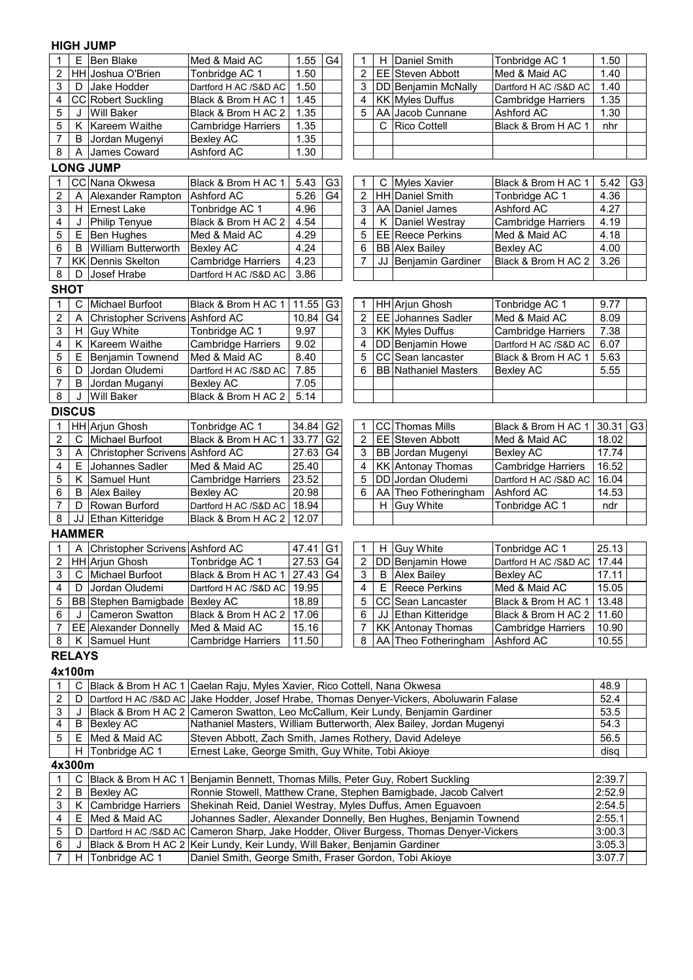### **HIGH JUMP**

| 1              | Е            | <b>Ben Blake</b>                | Med & Maid AC                                                                                     | 1.55                                                                      | G4              | 1                         | H | Daniel Smith                                                        | Tonbridge AC 1            | 1.50             |                |  |  |
|----------------|--------------|---------------------------------|---------------------------------------------------------------------------------------------------|---------------------------------------------------------------------------|-----------------|---------------------------|---|---------------------------------------------------------------------|---------------------------|------------------|----------------|--|--|
| 2              |              | HH Joshua O'Brien               | Tonbridge AC 1                                                                                    | 1.50                                                                      |                 | $\overline{2}$            |   | EE Steven Abbott                                                    | Med & Maid AC             | 1.40             |                |  |  |
| 3              | D            | Jake Hodder                     | Dartford H AC /S&D AC                                                                             | 1.50                                                                      |                 | 3                         |   | DD Benjamin McNally                                                 | Dartford H AC /S&D AC     | 1.40             |                |  |  |
| 4              |              | CC Robert Suckling              | Black & Brom H AC 1                                                                               | 1.45                                                                      |                 | 4                         |   | <b>KK Myles Duffus</b>                                              | <b>Cambridge Harriers</b> | 1.35             |                |  |  |
| 5              | J            | <b>Will Baker</b>               | Black & Brom H AC 2                                                                               | 1.35                                                                      |                 | 5                         |   | AA Jacob Cunnane                                                    | Ashford AC                | 1.30             |                |  |  |
| 5              | K            | Kareem Waithe                   | <b>Cambridge Harriers</b>                                                                         | 1.35                                                                      |                 |                           | C | <b>Rico Cottell</b>                                                 | Black & Brom H AC 1       | nhr              |                |  |  |
| $\overline{7}$ | B            | Jordan Mugenyi                  | <b>Bexley AC</b>                                                                                  | 1.35                                                                      |                 |                           |   |                                                                     |                           |                  |                |  |  |
| 8              | A            | James Coward                    | Ashford AC                                                                                        | 1.30                                                                      |                 |                           |   |                                                                     |                           |                  |                |  |  |
|                |              | <b>LONG JUMP</b>                |                                                                                                   |                                                                           |                 |                           |   |                                                                     |                           |                  |                |  |  |
| 1              |              | CC Nana Okwesa                  | Black & Brom H AC 1                                                                               | 5.43                                                                      | G <sub>3</sub>  | 1                         | С | <b>Myles Xavier</b>                                                 | Black & Brom H AC 1       | 5.42             | G <sub>3</sub> |  |  |
| 2              | A            | Alexander Rampton               | Ashford AC                                                                                        | 5.26                                                                      | G4              | $\overline{c}$            |   | HH Daniel Smith                                                     | Tonbridge AC 1            | 4.36             |                |  |  |
| 3              | H            | <b>Ernest Lake</b>              | Tonbridge AC 1                                                                                    | 4.96                                                                      |                 | 3                         |   | AA Daniel James                                                     | Ashford AC                | 4.27             |                |  |  |
| 4              | J            | Philip Tenyue                   | Black & Brom H AC 2                                                                               | 4.54                                                                      |                 | 4                         | K | Daniel Westray                                                      | <b>Cambridge Harriers</b> | 4.19             |                |  |  |
| 5              | E            | <b>Ben Hughes</b>               | Med & Maid AC                                                                                     | 4.29                                                                      |                 | 5                         |   | <b>EE</b> Reece Perkins                                             | Med & Maid AC             | 4.18             |                |  |  |
| 6              | B            | William Butterworth             | <b>Bexley AC</b>                                                                                  | 4.24                                                                      |                 | 6                         |   | <b>BB</b> Alex Bailey                                               | <b>Bexley AC</b>          | 4.00             |                |  |  |
| 7              |              | <b>KK Dennis Skelton</b>        | <b>Cambridge Harriers</b>                                                                         | 4.23                                                                      |                 | $\overline{7}$            |   | JJ Benjamin Gardiner                                                | Black & Brom H AC 2       | 3.26             |                |  |  |
| 8              | D            | Josef Hrabe                     | Dartford H AC /S&D AC                                                                             | 3.86                                                                      |                 |                           |   |                                                                     |                           |                  |                |  |  |
|                |              |                                 |                                                                                                   |                                                                           |                 |                           |   |                                                                     |                           |                  |                |  |  |
| <b>SHOT</b>    |              |                                 |                                                                                                   |                                                                           |                 |                           |   |                                                                     |                           |                  |                |  |  |
| 1              | C            | <b>Michael Burfoot</b>          | Black & Brom H AC 1                                                                               | 11.55                                                                     | G <sub>3</sub>  | 1                         |   | HH Arjun Ghosh                                                      | Tonbridge AC 1            | 9.77             |                |  |  |
| 2              | A            | Christopher Scrivens Ashford AC |                                                                                                   | 10.84                                                                     | G4              | $\overline{2}$            |   | <b>EE</b> Johannes Sadler                                           | Med & Maid AC             | 8.09<br>7.38     |                |  |  |
| 3              | Н            | <b>Guy White</b>                | Tonbridge AC 1                                                                                    | 9.97<br>3<br><b>KK Myles Duffus</b><br><b>Cambridge Harriers</b>          |                 |                           |   |                                                                     |                           |                  |                |  |  |
| 4              | Κ            | Kareem Waithe                   | <b>Cambridge Harriers</b>                                                                         | 4<br>DD Benjamin Howe<br>6.07<br>9.02<br>Dartford H AC /S&D AC            |                 |                           |   |                                                                     |                           |                  |                |  |  |
| 5              | Е            | Benjamin Townend                | Med & Maid AC                                                                                     | 8.40                                                                      |                 | 5                         |   | CC Sean lancaster                                                   | Black & Brom H AC 1       | 5.63             |                |  |  |
| 6              | D            | Jordan Oludemi                  | Dartford H AC /S&D AC                                                                             | 7.85                                                                      |                 | 6                         |   | <b>BB</b> Nathaniel Masters                                         | Bexley AC                 | 5.55             |                |  |  |
| $\overline{7}$ | B            | Jordan Muganyi                  | Bexley AC                                                                                         | 7.05                                                                      |                 |                           |   |                                                                     |                           |                  |                |  |  |
| 8              | J            | <b>Will Baker</b>               | Black & Brom H AC 2                                                                               | 5.14                                                                      |                 |                           |   |                                                                     |                           |                  |                |  |  |
| <b>DISCUS</b>  |              |                                 |                                                                                                   |                                                                           |                 |                           |   |                                                                     |                           |                  |                |  |  |
| 1              |              | HH Arjun Ghosh                  | Tonbridge AC 1                                                                                    | 34.84                                                                     | G <sub>2</sub>  | 1                         |   | CC Thomas Mills                                                     | Black & Brom H AC 1       | 30.31            | G <sub>3</sub> |  |  |
| 2              | C            | Michael Burfoot                 | Black & Brom H AC 1                                                                               | 33.77                                                                     | G <sub>2</sub>  | $\overline{2}$            |   | EE Steven Abbott                                                    | Med & Maid AC             | 18.02            |                |  |  |
| 3              | A            | Christopher Scrivens Ashford AC |                                                                                                   | 27.63<br>G <sub>4</sub><br>3<br>BB Jordan Mugenyi<br>17.74<br>Bexley AC   |                 |                           |   |                                                                     |                           |                  |                |  |  |
| 4              | Е            | <b>Johannes Sadler</b>          | Med & Maid AC                                                                                     | 25.40                                                                     |                 | 4                         |   | <b>KK Antonay Thomas</b>                                            | <b>Cambridge Harriers</b> | 16.52            |                |  |  |
| 5              | Κ            | Samuel Hunt                     | <b>Cambridge Harriers</b>                                                                         | 23.52                                                                     |                 | 5                         |   | DD Jordan Oludemi                                                   | Dartford H AC /S&D AC     | 16.04            |                |  |  |
| 6              | B            | <b>Alex Bailey</b>              | <b>Bexley AC</b>                                                                                  | 20.98                                                                     |                 | 6                         |   | AA Theo Fotheringham                                                | Ashford AC                | 14.53            |                |  |  |
| $\overline{7}$ | D            | Rowan Burford                   | Dartford H AC /S&D AC                                                                             | 18.94                                                                     |                 |                           | Н | <b>Guy White</b>                                                    | Tonbridge AC 1            | ndr              |                |  |  |
| 8              | JJ           | Ethan Kitteridge                | Black & Brom H AC 2                                                                               | 12.07                                                                     |                 |                           |   |                                                                     |                           |                  |                |  |  |
| <b>HAMMER</b>  |              |                                 |                                                                                                   |                                                                           |                 |                           |   |                                                                     |                           |                  |                |  |  |
| 1              | A            | Christopher Scrivens Ashford AC |                                                                                                   | 47.41                                                                     | G <sub>1</sub>  | 1                         | H | <b>Guy White</b>                                                    | Tonbridge AC 1            | 25.13            |                |  |  |
| $\overline{c}$ |              | HH Ariun Ghosh                  | Tonbridge AC 1                                                                                    | 27.53                                                                     | G <sub>4</sub>  | $\overline{2}$            |   | DD Benjamin Howe                                                    | Dartford H AC /S&D AC     | 17.44            |                |  |  |
| 3              |              | C Michael Burfoot               | Black & Brom H AC 1 27.43                                                                         |                                                                           | $\overline{G}4$ | $\ensuremath{\mathsf{3}}$ |   | <b>B</b> Alex Bailey                                                | <b>Bexley AC</b>          | 17.11            |                |  |  |
| 4              | D            | Jordan Oludemi                  | Dartford H AC /S&D AC                                                                             | 19.95                                                                     |                 | 4                         | Е | <b>Reece Perkins</b>                                                | Med & Maid AC             | 15.05            |                |  |  |
| 5              |              | <b>BB</b> Stephen Bamigbade     | <b>Bexley AC</b>                                                                                  | 18.89                                                                     |                 | 5                         |   | CC Sean Lancaster                                                   | Black & Brom H AC 1       | 13.48            |                |  |  |
| 6              | J            | <b>Cameron Swatton</b>          | Black & Brom H AC 2                                                                               | 17.06                                                                     |                 | 6                         |   | JJ Ethan Kitteridge                                                 | Black & Brom H AC 2       | 11.60            |                |  |  |
| 7              |              | EE Alexander Donnelly           | Med & Maid AC                                                                                     | 15.16                                                                     |                 | 7                         |   | KK Antonay Thomas                                                   | <b>Cambridge Harriers</b> | 10.90            |                |  |  |
| 8              | Κ            | Samuel Hunt                     | <b>Cambridge Harriers</b>                                                                         | 11.50                                                                     |                 | 8                         |   | AA Theo Fotheringham                                                | Ashford AC                | 10.55            |                |  |  |
| <b>RELAYS</b>  |              |                                 |                                                                                                   |                                                                           |                 |                           |   |                                                                     |                           |                  |                |  |  |
|                |              |                                 |                                                                                                   |                                                                           |                 |                           |   |                                                                     |                           |                  |                |  |  |
| 4x100m         |              |                                 | Black & Brom H AC 1 Caelan Raju, Myles Xavier, Rico Cottell, Nana Okwesa                          |                                                                           |                 |                           |   |                                                                     |                           |                  |                |  |  |
| 1              | $\mathsf{C}$ |                                 |                                                                                                   |                                                                           |                 |                           |   |                                                                     |                           | 48.9             |                |  |  |
| 2              | D            |                                 | Dartford H AC /S&D AC Jake Hodder, Josef Hrabe, Thomas Denyer-Vickers, Aboluwarin Falase          |                                                                           |                 |                           |   |                                                                     |                           | 52.4             |                |  |  |
| 3<br>4         | J<br>B       | <b>Bexley AC</b>                | Black & Brom H AC 2 Cameron Swatton, Leo McCallum, Keir Lundy, Benjamin Gardiner                  |                                                                           |                 |                           |   | Nathaniel Masters, William Butterworth, Alex Bailey, Jordan Mugenyi |                           | 53.5<br>54.3     |                |  |  |
|                |              |                                 |                                                                                                   |                                                                           |                 |                           |   |                                                                     |                           |                  |                |  |  |
| $\sqrt{5}$     | Е            | Med & Maid AC                   | Steven Abbott, Zach Smith, James Rothery, David Adeleye                                           |                                                                           |                 |                           |   |                                                                     |                           | 56.5             |                |  |  |
|                | Н            | Tonbridge AC 1                  | Ernest Lake, George Smith, Guy White, Tobi Akioye                                                 |                                                                           |                 |                           |   |                                                                     |                           | disq             |                |  |  |
| 4x300m         |              |                                 |                                                                                                   |                                                                           |                 |                           |   |                                                                     |                           |                  |                |  |  |
| 1              | C            | Black & Brom H AC 1             | Benjamin Bennett, Thomas Mills, Peter Guy, Robert Suckling                                        |                                                                           |                 |                           |   |                                                                     |                           | 2:39.7           |                |  |  |
| 2              | B            | <b>Bexley AC</b>                | Ronnie Stowell, Matthew Crane, Stephen Bamigbade, Jacob Calvert                                   |                                                                           |                 |                           |   |                                                                     |                           | 2:52.9           |                |  |  |
| 3              | ĸ            | <b>Cambridge Harriers</b>       | Shekinah Reid, Daniel Westray, Myles Duffus, Amen Eguavoen                                        |                                                                           |                 |                           |   |                                                                     |                           | 2:54.5           |                |  |  |
| 4              | Е            | Med & Maid AC                   |                                                                                                   |                                                                           |                 |                           |   | Johannes Sadler, Alexander Donnelly, Ben Hughes, Benjamin Townend   |                           | 2:55.1<br>3:00.3 |                |  |  |
| 5              | D            |                                 | Dartford H AC /S&D AC Cameron Sharp, Jake Hodder, Oliver Burgess, Thomas Denyer-Vickers<br>3:05.3 |                                                                           |                 |                           |   |                                                                     |                           |                  |                |  |  |
| 6              | J            |                                 |                                                                                                   | Black & Brom H AC 2 Keir Lundy, Keir Lundy, Will Baker, Benjamin Gardiner |                 |                           |   |                                                                     |                           |                  |                |  |  |

7 H Tonbridge AC 1 3:07.7

Daniel Smith, George Smith, Fraser Gordon, Tobi Akioye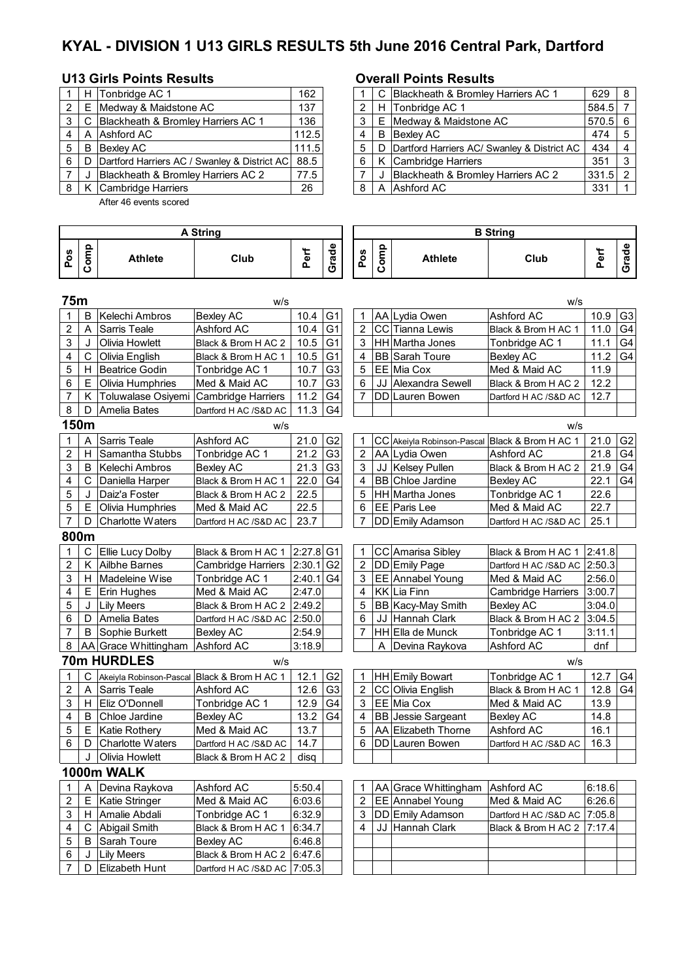# **KYAL - DIVISION 1 U13 GIRLS RESULTS 5th June 2016 Central Park, Dartford**

#### **U13 Girls Points Results Overall Points Results**

|   | H. | Tonbridge AC 1                               | 162   |   | C | Blackheath & Bromley Harriers AC 1       |
|---|----|----------------------------------------------|-------|---|---|------------------------------------------|
| 2 | F. | Medway & Maidstone AC                        | 137   |   |   | H Tonbridge AC 1                         |
| 3 | C. | Blackheath & Bromley Harriers AC 1           | 136   | 3 |   | E Medway & Maidstone AC                  |
| 4 |    | A Ashford AC                                 | 112.5 | 4 | B | <b>Bexley AC</b>                         |
| 5 | B  | <b>Bexley AC</b>                             | 111.5 | 5 | D | Dartford Harriers AC/ Swanley & District |
| 6 | D. | Dartford Harriers AC / Swanley & District AC | 88.5  | 6 |   | K Cambridge Harriers                     |
|   |    | Blackheath & Bromley Harriers AC 2           | 77.5  |   |   | Blackheath & Bromley Harriers AC 2       |
| 8 |    | K Cambridge Harriers                         | 26    | 8 |   | A Ashford AC                             |
|   |    |                                              |       |   |   |                                          |

After 46 events scored

|                | H | Tonbridge AC 1                                    | 162   |   | Blackheath & Bromley Harriers AC 1            | 629       | - 8                    |
|----------------|---|---------------------------------------------------|-------|---|-----------------------------------------------|-----------|------------------------|
| $\overline{2}$ | E | Medway & Maidstone AC                             | 137   |   | H Tonbridge AC 1                              | 584.5 7   |                        |
| 3              |   | Blackheath & Bromley Harriers AC 1                | 136   |   | E Medway & Maidstone AC                       | $570.5$ 6 |                        |
| 4              |   | A Ashford AC                                      | 112.5 |   | <b>B</b> Bexlev AC                            | 474       | -5                     |
| 5 I            | B | Bexlev AC                                         | 111.5 |   | D Dartford Harriers AC/ Swanley & District AC | 434       | $\boldsymbol{\Lambda}$ |
| 6 I            | D | Dartford Harriers AC / Swanley & District AC 88.5 |       |   | K Cambridge Harriers                          | 351       | -3                     |
|                |   | Blackheath & Bromley Harriers AC 2                | 77.5  |   | Blackheath & Bromley Harriers AC 2            | $331.5$ 2 |                        |
| 8 I            |   | Cambridge Harriers                                | 26    | 8 | A Ashford AC                                  | 331       |                        |

|                         | A String |                                             |                              |             |                |        | <b>B</b> String |                            |                              |        |                |  |  |
|-------------------------|----------|---------------------------------------------|------------------------------|-------------|----------------|--------|-----------------|----------------------------|------------------------------|--------|----------------|--|--|
| Pos                     | Comp     | <b>Athlete</b>                              | Club                         | Perf        | Grade          | Pos    | Comp            | <b>Athlete</b>             | Club                         | Perf   | Grade          |  |  |
| 75m                     |          |                                             | w/s                          |             |                |        |                 |                            | w/s                          |        |                |  |  |
|                         | B        | Kelechi Ambros                              | <b>Bexley AC</b>             | 10.4        | G <sub>1</sub> | 1      |                 | AA Lydia Owen              | Ashford AC                   | 10.9   | G <sub>3</sub> |  |  |
| $\overline{c}$          | A        | Sarris Teale                                | Ashford AC                   | 10.4        | G <sub>1</sub> | 2      |                 | CC Tianna Lewis            | Black & Brom H AC 1          | 11.0   | G4             |  |  |
| 3                       | J        | Olivia Howlett                              | Black & Brom H AC 2          | 10.5        | G <sub>1</sub> | 3      |                 | <b>HH</b> Martha Jones     | Tonbridge AC 1               | 11.1   | G4             |  |  |
| 4                       | С        | Olivia English                              | Black & Brom H AC 1          | 10.5        | G <sub>1</sub> | 4      |                 | <b>BB</b> Sarah Toure      | <b>Bexley AC</b>             | 11.2   | G4             |  |  |
| 5                       | H        | Beatrice Godin                              | Tonbridge AC 1               | 10.7        | G <sub>3</sub> | 5      |                 | EE Mia Cox                 | Med & Maid AC                | 11.9   |                |  |  |
| 6                       | E.       | Olivia Humphries                            | Med & Maid AC                | 10.7        | G <sub>3</sub> | 6      |                 | JJ Alexandra Sewell        | Black & Brom H AC 2          | 12.2   |                |  |  |
| 7                       | Κ        | Toluwalase Osiyemi                          | <b>Cambridge Harriers</b>    | 11.2        | G <sub>4</sub> | 7      |                 | DD Lauren Bowen            | Dartford H AC /S&D AC        | 12.7   |                |  |  |
| 8                       | D        | Amelia Bates                                | Dartford H AC /S&D AC        | 11.3        | G4             |        |                 |                            |                              |        |                |  |  |
|                         | 150m     |                                             | w/s                          |             |                |        |                 |                            | w/s                          |        |                |  |  |
| 1                       | Α        | Sarris Teale                                | Ashford AC                   | 21.0        | G <sub>2</sub> | 1      |                 | CC Akeiyla Robinson-Pascal | Black & Brom H AC 1          | 21.0   | G <sub>2</sub> |  |  |
| $\overline{c}$          | H.       | Samantha Stubbs                             | Tonbridge AC 1               | 21.2        | G <sub>3</sub> | 2      |                 | AA Lydia Owen              | Ashford AC                   | 21.8   | G4             |  |  |
| 3                       | B        | Kelechi Ambros                              | <b>Bexley AC</b>             | 21.3        | G <sub>3</sub> | 3      |                 | JJ Kelsey Pullen           | Black & Brom H AC 2          | 21.9   | G <sub>4</sub> |  |  |
| 4                       | C        | Daniella Harper                             | Black & Brom H AC 1          | 22.0        | G4             | 4      |                 | <b>BB</b> Chloe Jardine    | <b>Bexley AC</b>             | 22.1   | G4             |  |  |
| 5                       | J<br>E   | Daiz'a Foster                               | Black & Brom H AC 2          | 22.5        |                | 5      |                 | HH Martha Jones            | Tonbridge AC 1               | 22.6   |                |  |  |
| 5                       |          | Olivia Humphries<br><b>Charlotte Waters</b> | Med & Maid AC                | 22.5        |                | 6<br>7 |                 | EE Paris Lee               | Med & Maid AC                | 22.7   |                |  |  |
| 7                       | D        |                                             | Dartford H AC /S&D AC        | 23.7        |                |        |                 | DD Emily Adamson           | Dartford H AC /S&D AC        | 25.1   |                |  |  |
|                         | 800m     |                                             |                              |             |                |        |                 |                            |                              |        |                |  |  |
| 1                       |          | C Ellie Lucy Dolby                          | Black & Brom H AC 1          | $2:27.8$ G1 |                | 1      |                 | CC Amarisa Sibley          | Black & Brom H AC 1          | 2:41.8 |                |  |  |
| $\overline{\mathbf{c}}$ |          | K Ailbhe Barnes                             | Cambridge Harriers           | 2:30.1 G2   |                | 2      |                 | DD Emily Page              | Dartford H AC /S&D AC        | 2:50.3 |                |  |  |
| 3                       | H.       | Madeleine Wise                              | Tonbridge AC 1               | $2:40.1$ G4 |                | 3      |                 | EE Annabel Young           | Med & Maid AC                | 2:56.0 |                |  |  |
| 4                       |          | E Erin Hughes                               | Med & Maid AC                | 2:47.0      |                | 4      |                 | KK Lia Finn                | Cambridge Harriers           | 3:00.7 |                |  |  |
| 5                       |          | J Lily Meers                                | Black & Brom H AC 2          | 2:49.2      |                | 5      |                 | BB Kacy-May Smith          | <b>Bexley AC</b>             | 3:04.0 |                |  |  |
| 6                       |          | D Amelia Bates                              | Dartford H AC /S&D AC 2:50.0 |             |                | 6      |                 | JJ Hannah Clark            | Black & Brom H AC 2          | 3:04.5 |                |  |  |
| 7                       |          | <b>B</b> Sophie Burkett                     | Bexley AC<br>Ashford AC      | 2:54.9      |                | 7      | A               | HH Ella de Munck           | Tonbridge AC 1               | 3:11.1 |                |  |  |
| 8                       |          | AA Grace Whittingham                        |                              | 3:18.9      |                |        |                 | Devina Raykova             | Ashford AC                   | dnf    |                |  |  |
|                         |          | <b>70m HURDLES</b>                          | w/s                          |             |                |        |                 |                            | w/s                          |        |                |  |  |
| 1                       | C        | Akeiyla Robinson-Pascal Black & Brom H AC 1 |                              | 12.1        | G <sub>2</sub> | 1      |                 | <b>HH</b> Emily Bowart     | Tonbridge AC 1               | 12.7   | G4             |  |  |
| $\overline{c}$          | Α        | Sarris Teale                                | Ashford AC                   | 12.6        | G <sub>3</sub> | 2      |                 | CC Olivia English          | Black & Brom H AC 1          | 12.8   | G4             |  |  |
| 3                       |          | H Eliz O'Donnell                            | Tonbridge AC 1               | 12.9        | G <sub>4</sub> | 3      |                 | EE Mia Cox                 | Med & Maid AC                | 13.9   |                |  |  |
| 4                       | B        | Chloe Jardine                               | <b>Bexley AC</b>             | 13.2        | G <sub>4</sub> | 4      |                 | <b>BB</b> Jessie Sargeant  | <b>Bexley AC</b>             | 14.8   |                |  |  |
| 5<br>$\overline{6}$     |          | E Katie Rothery                             | Med & Maid AC                | 13.7        |                | 5      |                 | AA Elizabeth Thorne        | Ashford AC                   | 16.1   |                |  |  |
|                         |          | D Charlotte Waters                          | Dartford H AC /S&D AC        | 14.7        |                | 6      |                 | DD Lauren Bowen            | Dartford H AC /S&D AC        | 16.3   |                |  |  |
|                         |          | J Olivia Howlett                            | Black & Brom H AC 2          | disq        |                |        |                 |                            |                              |        |                |  |  |
|                         |          | 1000m WALK                                  |                              |             |                |        |                 |                            |                              |        |                |  |  |
| 1                       | A        | Devina Raykova                              | Ashford AC                   | 5:50.4      |                | 1      |                 | AA Grace Whittingham       | Ashford AC                   | 6:18.6 |                |  |  |
| $\overline{2}$          | E.       | Katie Stringer                              | Med & Maid AC                | 6:03.6      |                | 2      |                 | EE Annabel Young           | Med & Maid AC                | 6:26.6 |                |  |  |
| 3                       |          | H Amalie Abdali                             | Tonbridge AC 1               | 6:32.9      |                | 3      |                 | DD Emily Adamson           | Dartford H AC /S&D AC 7:05.8 |        |                |  |  |
| 4                       | C        | Abigail Smith                               | Black & Brom H AC 1          | 6:34.7      |                | 4      |                 | JJ Hannah Clark            | Black & Brom H AC 2          | 7:17.4 |                |  |  |
| 5                       | B        | Sarah Toure                                 | Bexley AC                    | 6:46.8      |                |        |                 |                            |                              |        |                |  |  |
| 6                       | J        | <b>Lily Meers</b>                           | Black & Brom H AC 2 6:47.6   |             |                |        |                 |                            |                              |        |                |  |  |
| $\overline{7}$          |          | D Elizabeth Hunt                            | Dartford H AC /S&D AC 7:05.3 |             |                |        |                 |                            |                              |        |                |  |  |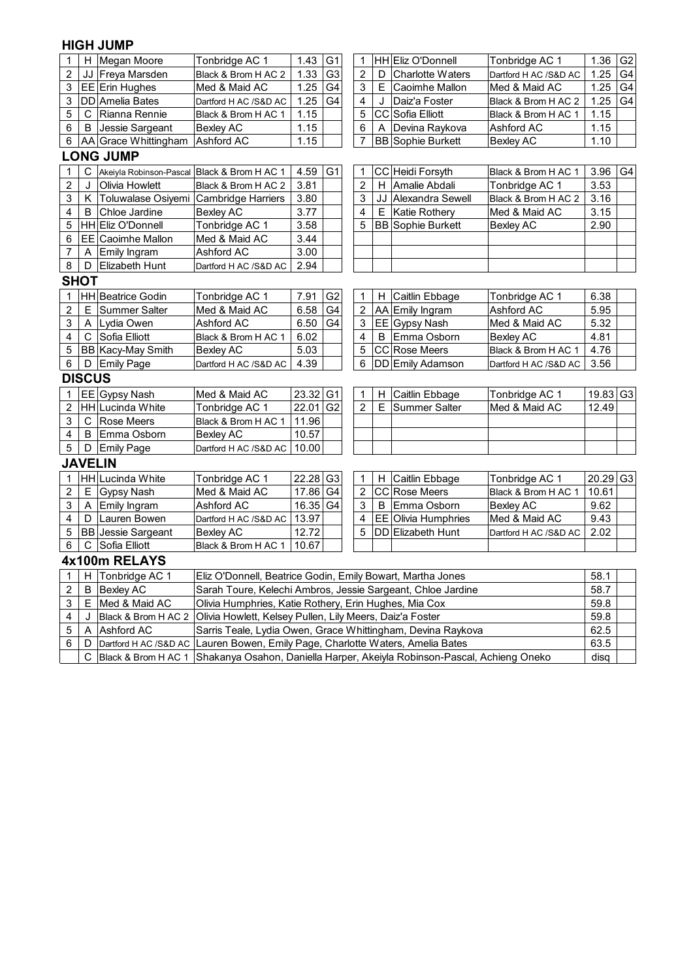### **HIGH JUMP**

| 1                         | н             | Megan Moore                                 | Tonbridge AC 1                                                                       | 1.43                                                                                                                                                                           | G <sub>1</sub> | 1                         |   | HH Eliz O'Donnell        | Tonbridge AC 1        | 1.36     | G <sub>2</sub> |  |  |
|---------------------------|---------------|---------------------------------------------|--------------------------------------------------------------------------------------|--------------------------------------------------------------------------------------------------------------------------------------------------------------------------------|----------------|---------------------------|---|--------------------------|-----------------------|----------|----------------|--|--|
| $\overline{2}$            | JJ            | Freya Marsden                               | Black & Brom H AC 2                                                                  | 1.33<br>G <sub>3</sub><br>$\overline{2}$<br><b>Charlotte Waters</b><br>1.25<br>Dartford H AC /S&D AC<br>D                                                                      |                |                           |   |                          |                       |          |                |  |  |
| $\mathsf 3$               |               | EE Erin Hughes                              | Med & Maid AC                                                                        | 1.25                                                                                                                                                                           | G <sub>4</sub> | 3                         | Е | Caoimhe Mallon           | Med & Maid AC         | 1.25     | G4             |  |  |
| $\ensuremath{\mathsf{3}}$ |               | <b>DD</b> Amelia Bates                      | Dartford H AC /S&D AC                                                                | 1.25                                                                                                                                                                           | G <sub>4</sub> | 4                         | J | Daiz'a Foster            | Black & Brom H AC 2   | 1.25     | G <sub>4</sub> |  |  |
| $\overline{5}$            | С             | Rianna Rennie                               | Black & Brom H AC 1                                                                  | 1.15                                                                                                                                                                           |                | 5                         |   | CC Sofia Elliott         | Black & Brom H AC 1   | 1.15     |                |  |  |
| $\,6$                     | B             | Jessie Sargeant                             | <b>Bexley AC</b>                                                                     | 1.15                                                                                                                                                                           |                | 6                         | A | Devina Raykova           | Ashford AC            | 1.15     |                |  |  |
| $\,6$                     |               | AA Grace Whittingham                        | Ashford AC                                                                           | 1.15                                                                                                                                                                           |                | 7                         |   | <b>BB</b> Sophie Burkett | <b>Bexley AC</b>      | 1.10     |                |  |  |
|                           |               | <b>LONG JUMP</b>                            |                                                                                      |                                                                                                                                                                                |                |                           |   |                          |                       |          |                |  |  |
| $\mathbf{1}$              | С             | Akeiyla Robinson-Pascal Black & Brom H AC 1 |                                                                                      | 4.59                                                                                                                                                                           | G1             | 1                         |   | CC Heidi Forsyth         | Black & Brom H AC 1   | 3.96     | G4             |  |  |
| $\overline{c}$            | J             | Olivia Howlett                              | Black & Brom H AC 2                                                                  | 3.81                                                                                                                                                                           |                | $\overline{2}$            | H | Amalie Abdali            | Tonbridge AC 1        | 3.53     |                |  |  |
| $\ensuremath{\mathsf{3}}$ | Κ             | Toluwalase Osiyemi Cambridge Harriers       |                                                                                      | 3.80                                                                                                                                                                           |                | 3                         |   | JJ Alexandra Sewell      | Black & Brom H AC 2   | 3.16     |                |  |  |
| 4                         | В             | Chloe Jardine                               | <b>Bexley AC</b>                                                                     | 3.77                                                                                                                                                                           |                | 4                         | Е | <b>Katie Rothery</b>     | Med & Maid AC         | 3.15     |                |  |  |
| 5                         |               | HH Eliz O'Donnell                           | Tonbridge AC 1                                                                       | 3.58                                                                                                                                                                           |                | 5                         |   | <b>BB</b> Sophie Burkett | <b>Bexley AC</b>      | 2.90     |                |  |  |
| $\,6$                     |               | EE Caoimhe Mallon                           | Med & Maid AC                                                                        | 3.44                                                                                                                                                                           |                |                           |   |                          |                       |          |                |  |  |
| $\boldsymbol{7}$          | A             | Emily Ingram                                | Ashford AC                                                                           | 3.00                                                                                                                                                                           |                |                           |   |                          |                       |          |                |  |  |
| 8                         | D             | Elizabeth Hunt                              | Dartford H AC /S&D AC                                                                | 2.94                                                                                                                                                                           |                |                           |   |                          |                       |          |                |  |  |
|                           | <b>SHOT</b>   |                                             |                                                                                      |                                                                                                                                                                                |                |                           |   |                          |                       |          |                |  |  |
| $\mathbf{1}$              |               | HH Beatrice Godin                           | Tonbridge AC 1                                                                       | 7.91                                                                                                                                                                           | G <sub>2</sub> | 1                         | H | Caitlin Ebbage           | Tonbridge AC 1        | 6.38     |                |  |  |
| $\overline{2}$            | Ε             | Summer Salter                               | Med & Maid AC                                                                        | 6.58                                                                                                                                                                           | G <sub>4</sub> | $\overline{2}$            |   | AA Emily Ingram          | Ashford AC            | 5.95     |                |  |  |
| $\ensuremath{\mathsf{3}}$ | Α             | Lydia Owen                                  | Ashford AC                                                                           | 6.50                                                                                                                                                                           | G <sub>4</sub> | $\ensuremath{\mathsf{3}}$ |   | EE Gypsy Nash            | Med & Maid AC         | 5.32     |                |  |  |
| $\overline{\mathbf{4}}$   | C             | Sofia Elliott                               | Black & Brom H AC 1                                                                  | 6.02                                                                                                                                                                           |                | 4                         | B | Emma Osborn              | <b>Bexley AC</b>      | 4.81     |                |  |  |
| 5                         |               | BB Kacy-May Smith                           | <b>Bexley AC</b>                                                                     | 5.03                                                                                                                                                                           |                | 5                         |   | CC Rose Meers            | Black & Brom H AC 1   | 4.76     |                |  |  |
| $\,6\,$                   | D             | <b>Emily Page</b>                           | Dartford H AC /S&D AC                                                                | 4.39                                                                                                                                                                           |                | 6                         |   | DD Emily Adamson         | Dartford H AC /S&D AC | 3.56     |                |  |  |
|                           | <b>DISCUS</b> |                                             |                                                                                      |                                                                                                                                                                                |                |                           |   |                          |                       |          |                |  |  |
| $\mathbf{1}$              |               | EE Gypsy Nash                               | Med & Maid AC                                                                        | 23.32 G1                                                                                                                                                                       |                | 1                         | H | Caitlin Ebbage           | Tonbridge AC 1        | 19.83 G3 |                |  |  |
| $\overline{c}$            |               | HH Lucinda White                            | Tonbridge AC 1                                                                       | 22.01                                                                                                                                                                          | G <sub>2</sub> | $\overline{2}$            | Е | <b>Summer Salter</b>     | Med & Maid AC         | 12.49    |                |  |  |
| 3                         | C             | <b>Rose Meers</b>                           | Black & Brom H AC 1                                                                  | 11.96                                                                                                                                                                          |                |                           |   |                          |                       |          |                |  |  |
| 4                         | B             | Emma Osborn                                 | <b>Bexley AC</b>                                                                     | 10.57                                                                                                                                                                          |                |                           |   |                          |                       |          |                |  |  |
| $\overline{5}$            | D             | <b>Emily Page</b>                           | Dartford H AC /S&D AC                                                                | 10.00                                                                                                                                                                          |                |                           |   |                          |                       |          |                |  |  |
|                           |               | <b>JAVELIN</b>                              |                                                                                      |                                                                                                                                                                                |                |                           |   |                          |                       |          |                |  |  |
| 1                         |               | HH Lucinda White                            | Tonbridge AC 1                                                                       | 22.28                                                                                                                                                                          | G <sub>3</sub> | 1                         | н | Caitlin Ebbage           | Tonbridge AC 1        | 20.29    | G <sub>3</sub> |  |  |
| $\overline{2}$            | Е             | Gypsy Nash                                  | Med & Maid AC                                                                        | 17.86 G4                                                                                                                                                                       |                | $\overline{2}$            |   | CC Rose Meers            | Black & Brom H AC 1   | 10.61    |                |  |  |
| $\ensuremath{\mathsf{3}}$ | Α             | Emily Ingram                                | Ashford AC                                                                           | 16.35                                                                                                                                                                          | G4             | 3                         | B | Emma Osborn              | <b>Bexley AC</b>      | 9.62     |                |  |  |
| $\overline{\mathbf{4}}$   | D             | Lauren Bowen                                | Dartford H AC /S&D AC                                                                | 13.97                                                                                                                                                                          |                | 4                         |   | EE Olivia Humphries      | Med & Maid AC         | 9.43     |                |  |  |
| $\mathbf 5$               |               | <b>BB</b> Jessie Sargeant                   | 12.72<br>5<br><b>DD</b> Elizabeth Hunt<br>Bexley AC<br>Dartford H AC /S&D AC<br>2.02 |                                                                                                                                                                                |                |                           |   |                          |                       |          |                |  |  |
| $\,6\,$                   | C             | Sofia Elliott                               | Black & Brom H AC 1<br>10.67                                                         |                                                                                                                                                                                |                |                           |   |                          |                       |          |                |  |  |
|                           |               | 4x100m RELAYS                               |                                                                                      |                                                                                                                                                                                |                |                           |   |                          |                       |          |                |  |  |
| 1                         | H             | Tonbridge AC 1                              | Eliz O'Donnell, Beatrice Godin, Emily Bowart, Martha Jones                           |                                                                                                                                                                                |                |                           |   |                          |                       | 58.1     |                |  |  |
| $\boldsymbol{2}$          | B             | <b>Bexley AC</b>                            | Sarah Toure, Kelechi Ambros, Jessie Sargeant, Chloe Jardine                          |                                                                                                                                                                                |                |                           |   |                          |                       | 58.7     |                |  |  |
| 3                         | E             | Med & Maid AC                               | Olivia Humphries, Katie Rothery, Erin Hughes, Mia Cox                                |                                                                                                                                                                                |                |                           |   |                          |                       | 59.8     |                |  |  |
| $\overline{\mathbf{4}}$   | J             | Black & Brom H AC 2                         | Olivia Howlett, Kelsey Pullen, Lily Meers, Daiz'a Foster                             |                                                                                                                                                                                |                |                           |   |                          |                       | 59.8     |                |  |  |
| 5                         | A             | Ashford AC                                  | Sarris Teale, Lydia Owen, Grace Whittingham, Devina Raykova                          |                                                                                                                                                                                |                |                           |   |                          |                       | 62.5     |                |  |  |
| 6                         | D             |                                             |                                                                                      |                                                                                                                                                                                |                |                           |   |                          |                       | 63.5     |                |  |  |
|                           | C             |                                             |                                                                                      | Dartford H AC /S&D AC Lauren Bowen, Emily Page, Charlotte Waters, Amelia Bates<br>Black & Brom H AC 1 Shakanya Osahon, Daniella Harper, Akeiyla Robinson-Pascal, Achieng Oneko |                |                           |   |                          |                       |          |                |  |  |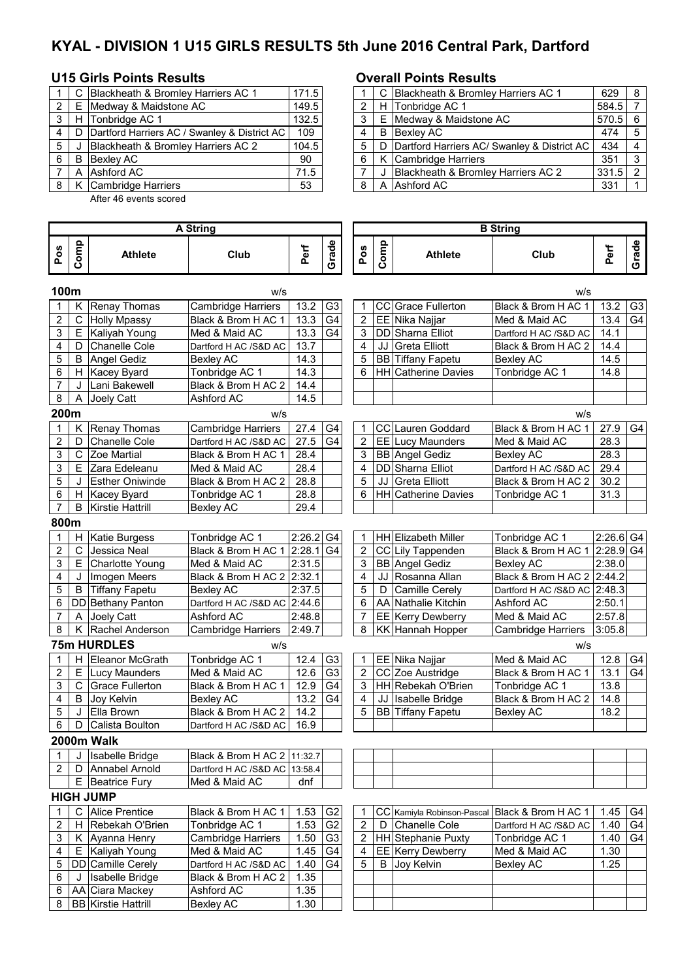# **KYAL - DIVISION 1 U15 GIRLS RESULTS 5th June 2016 Central Park, Dartford**

## **U15 Girls Points Results Overall Points Results**

|                | C Blackheath & Bromley Harriers AC 1             | 171.5 |   | C Blackheath & Bromley Harriers AC 1            |
|----------------|--------------------------------------------------|-------|---|-------------------------------------------------|
| $\overline{2}$ | E Medway & Maidstone AC                          | 149.5 |   | H Tonbridge AC 1                                |
|                | H Tonbridge AC 1                                 | 132.5 |   | E Medway & Maidstone AC                         |
|                | D   Dartford Harriers AC / Swanley & District AC | 109   |   | <b>B</b> Bexley AC                              |
| 5              | Blackheath & Bromley Harriers AC 2               | 104.5 | 5 | D   Dartford Harriers AC/ Swanley & District AC |
|                | B Bexlev AC                                      | 90    | 6 | K Cambridge Harriers                            |
|                | A Ashford AC                                     | 71.5  |   | Blackheath & Bromley Harriers AC 2              |
|                | K Cambridge Harriers                             | 53    | 8 | A Ashford AC                                    |

After 46 events scored

|     |       | C Blackheath & Bromley Harriers AC 1         | 171.5 |  | C Blackheath & Bromley Harriers AC 1          | 629       | -8        |
|-----|-------|----------------------------------------------|-------|--|-----------------------------------------------|-----------|-----------|
|     | 2 I E | Medway & Maidstone AC                        | 149.5 |  | H Tonbridge AC 1                              | 584.5     |           |
| 3 I | H     | Tonbridge AC 1                               | 132.5 |  | E Medway & Maidstone AC                       | $570.5$ 6 |           |
| 4   | D     | Dartford Harriers AC / Swanley & District AC | 109   |  | <b>B</b> Bexlev AC                            | 474       | -5        |
| 5   |       | Blackheath & Bromley Harriers AC 2           | 104.5 |  | D Dartford Harriers AC/ Swanley & District AC | 434       | $\Delta$  |
| 61  | -B    | Bexley AC                                    | 90    |  | K Cambridge Harriers                          | 351       | $\cdot$ 3 |
|     |       | A Ashford AC                                 | 71.5  |  | Blackheath & Bromley Harriers AC 2            | $331.5$ 2 |           |
|     |       | 8   K Cambridge Harriers                     | 53    |  | A Ashford AC                                  | 331       |           |

|                         |             |                               | <b>A String</b>               |              |                 |                | <b>B</b> String |                            |                              |             |                |  |  |
|-------------------------|-------------|-------------------------------|-------------------------------|--------------|-----------------|----------------|-----------------|----------------------------|------------------------------|-------------|----------------|--|--|
| Pos                     | Comp        | Athlete                       | Club                          | Perf         | Grade           | Pos            | Comp            | <b>Athlete</b>             | Club                         | Perf        | Grade          |  |  |
| 100m<br>w/s             |             |                               |                               |              |                 |                | w/s             |                            |                              |             |                |  |  |
| 1                       | Κ           | <b>Renay Thomas</b>           | Cambridge Harriers            | 13.2         | G <sub>3</sub>  | 1              |                 | CC Grace Fullerton         | Black & Brom H AC 1          | 13.2        | G <sub>3</sub> |  |  |
| 2                       | C           | <b>Holly Mpassy</b>           | Black & Brom H AC 1           | 13.3         | G <sub>4</sub>  | $\overline{2}$ |                 | EE Nika Najjar             | Med & Maid AC                | 13.4        | G4             |  |  |
| 3                       | E.          | Kaliyah Young                 | Med & Maid AC                 | 13.3         | G <sub>4</sub>  | 3              |                 | DD Sharna Elliot           | Dartford H AC /S&D AC        | 14.1        |                |  |  |
| 4                       | D           | <b>Chanelle Cole</b>          | Dartford H AC /S&D AC         | 13.7         |                 | 4              | JJ              | <b>Greta Elliott</b>       | Black & Brom H AC 2          | 14.4        |                |  |  |
| 5                       | B           | <b>Angel Gediz</b>            | <b>Bexley AC</b>              | 14.3         |                 | 5              |                 | <b>BB</b> Tiffany Fapetu   | Bexley AC                    | 14.5        |                |  |  |
| 6                       | H.          | Kacey Byard                   | Tonbridge AC 1                | 14.3         |                 | 6              |                 | <b>HH</b> Catherine Davies | Tonbridge AC 1               | 14.8        |                |  |  |
| $\overline{7}$          | J           | Lani Bakewell                 | Black & Brom H AC 2           | 14.4         |                 |                |                 |                            |                              |             |                |  |  |
| 8                       | A           | Joely Catt                    | Ashford AC                    | 14.5         |                 |                |                 |                            |                              |             |                |  |  |
| 200m                    |             |                               | W/S                           |              |                 |                |                 |                            | w/s                          |             |                |  |  |
| 1                       | Κ           | Renay Thomas                  | Cambridge Harriers            | 27.4         | G4              | 1              |                 | CC Lauren Goddard          | Black & Brom H AC 1          | 27.9        | G4             |  |  |
| $\overline{\mathbf{c}}$ | D           | Chanelle Cole                 | Dartford H AC /S&D AC         | 27.5         | G <sub>4</sub>  | 2              |                 | EE Lucy Maunders           | Med & Maid AC                | 28.3        |                |  |  |
| 3                       | $\mathsf C$ | Zoe Martial                   | Black & Brom H AC 1           | 28.4         |                 | 3              |                 | <b>BB</b> Angel Gediz      | <b>Bexley AC</b>             | 28.3        |                |  |  |
| 3                       |             | E Zara Edeleanu               | Med & Maid AC                 | 28.4         |                 | 4              |                 | DD Sharna Elliot           | Dartford H AC /S&D AC        | 29.4        |                |  |  |
| 5                       | J           | <b>Esther Oniwinde</b>        | Black & Brom H AC 2           | 28.8         |                 | 5              | JJ              | <b>Greta Elliott</b>       | Black & Brom H AC 2          | 30.2        |                |  |  |
| 6                       |             | H   Kacey Byard               | Tonbridge AC 1                | 28.8         |                 | 6              |                 | <b>HH</b> Catherine Davies | Tonbridge AC 1               | 31.3        |                |  |  |
| 7                       | B           | Kirstie Hattrill              | <b>Bexley AC</b>              | 29.4         |                 |                |                 |                            |                              |             |                |  |  |
| 800m                    |             |                               |                               |              |                 |                |                 |                            |                              |             |                |  |  |
| 1                       | H.          | Katie Burgess                 | Tonbridge AC 1                | $2:26.2$ G4  |                 | $\mathbf{1}$   |                 | HH Elizabeth Miller        | Tonbridge AC 1               | $2:26.6$ G4 |                |  |  |
| $\overline{c}$          | $\mathsf C$ | Jessica Neal                  | Black & Brom H AC 1           | 2:28.1       | G <sub>4</sub>  | $\overline{2}$ |                 | CC Lily Tappenden          | Black & Brom H AC 1          | $2:28.9$ G4 |                |  |  |
| 3                       | E.          | Charlotte Young               | Med & Maid AC                 | 2:31.5       |                 | 3              |                 | <b>BB</b> Angel Gediz      | Bexley AC                    | 2:38.0      |                |  |  |
| 4                       | J           | Imogen Meers                  | Black & Brom H AC 2           | 2:32.1       |                 | 4              |                 | JJ Rosanna Allan           | Black & Brom H AC 2 2:44.2   |             |                |  |  |
| 5                       | B           | <b>Tiffany Fapetu</b>         | <b>Bexley AC</b>              | 2:37.5       |                 | 5              | D               | Camille Cerely             | Dartford H AC /S&D AC 2:48.3 |             |                |  |  |
| 6                       |             | DD Bethany Panton             | Dartford H AC /S&D AC         | 2:44.6       |                 | 6              |                 | AA Nathalie Kitchin        | Ashford AC                   | 2:50.1      |                |  |  |
| 7                       | Α           | Joely Catt                    | Ashford AC                    | 2:48.8       |                 | 7              |                 | EE Kerry Dewberry          | Med & Maid AC                | 2:57.8      |                |  |  |
| 8                       | Κ           | Rachel Anderson               | Cambridge Harriers            | 2:49.7       |                 | 8              |                 | KK Hannah Hopper           | Cambridge Harriers           | 3:05.8      |                |  |  |
|                         |             | <b>75m HURDLES</b>            | w/s                           |              |                 |                |                 |                            | w/s                          |             |                |  |  |
| 1                       | H.          | Eleanor McGrath               | Tonbridge AC 1                | 12.4         | G <sub>3</sub>  | 1              |                 | EE Nika Najjar             | Med & Maid AC                | 12.8        | G4             |  |  |
| 2                       | E.          | <b>Lucy Maunders</b>          | Med & Maid AC                 | 12.6         | G3              | 2              |                 | CC Zoe Austridge           | Black & Brom H AC 1          | 13.1        | G4             |  |  |
| 3                       | C           | <b>Grace Fullerton</b>        | Black & Brom H AC 1           | 12.9         | G <sub>4</sub>  | 3              |                 | HH Rebekah O'Brien         | Tonbridge AC 1               | 13.8        |                |  |  |
| 4                       | B           | Joy Kelvin                    | <b>Bexley AC</b>              | 13.2         | $\overline{G}4$ | 4              |                 | JJ Isabelle Bridge         | Black & Brom H AC 2          | 14.8        |                |  |  |
| 5                       | J           | Ella Brown                    | Black & Brom H AC 2           | 14.2<br>16.9 |                 | 5              |                 | <b>BB</b> Tiffany Fapetu   | Bexley AC                    | 18.2        |                |  |  |
| 6                       | D           | Calista Boulton<br>2000m Walk | Dartford H AC /S&D AC         |              |                 |                |                 |                            |                              |             |                |  |  |
| 1                       |             | J Isabelle Bridge             | Black & Brom H AC 2 11:32.7   |              |                 |                |                 |                            |                              |             |                |  |  |
| $\overline{2}$          |             | D Annabel Arnold              | Dartford H AC /S&D AC 13:58.4 |              |                 |                |                 |                            |                              |             |                |  |  |
|                         |             | E Beatrice Fury               | Med & Maid AC                 | dnf          |                 |                |                 |                            |                              |             |                |  |  |
|                         |             | <b>HIGH JUMP</b>              |                               |              |                 |                |                 |                            |                              |             |                |  |  |
| 1                       |             | C Alice Prentice              | Black & Brom H AC 1           | 1.53         | G <sub>2</sub>  | 1              |                 | CC Kamiyla Robinson-Pascal | Black & Brom H AC 1          | 1.45        | G4             |  |  |
| 2                       |             | H Rebekah O'Brien             | Tonbridge AC 1                | 1.53         | G <sub>2</sub>  | $\overline{2}$ | D               | Chanelle Cole              | Dartford H AC /S&D AC        | 1.40        | G <sub>4</sub> |  |  |
| 3                       |             | K Ayanna Henry                | Cambridge Harriers            | 1.50         | G <sub>3</sub>  | 2              |                 | HH Stephanie Puxty         | Tonbridge AC 1               | 1.40        | G <sub>4</sub> |  |  |
| 4                       |             | E Kaliyah Young               | Med & Maid AC                 | 1.45         | G4              | 4              |                 | EE Kerry Dewberry          | Med & Maid AC                | 1.30        |                |  |  |
| 5                       |             | DD Camille Cerely             | Dartford H AC /S&D AC         | 1.40         | G4              | 5              |                 | <b>B</b> Joy Kelvin        | <b>Bexley AC</b>             | 1.25        |                |  |  |
| 6                       | J           | Isabelle Bridge               | Black & Brom H AC 2           | 1.35         |                 |                |                 |                            |                              |             |                |  |  |
| 6                       |             | AA Ciara Mackey               | Ashford AC                    | 1.35         |                 |                |                 |                            |                              |             |                |  |  |
| 8                       |             | <b>BB</b> Kirstie Hattrill    | <b>Bexley AC</b>              | 1.30         |                 |                |                 |                            |                              |             |                |  |  |
|                         |             |                               |                               |              |                 |                |                 |                            |                              |             |                |  |  |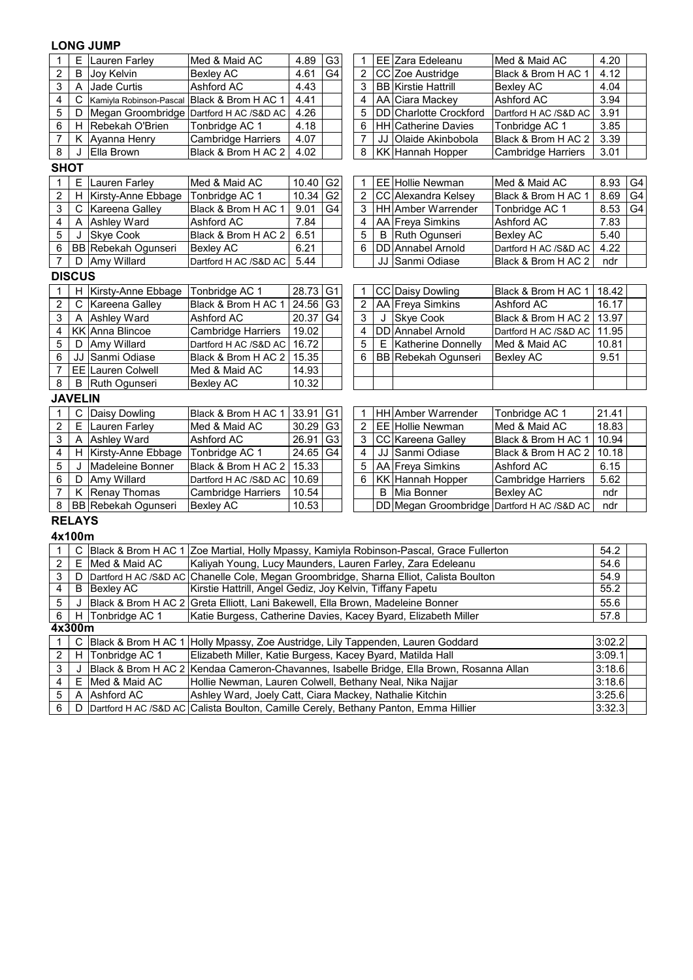| $\mathbf 1$    | Е              | Lauren Farley                           | Med & Maid AC                                                                               | 4.89                                                                                                                                                   | G <sub>3</sub>         | 1              |    | EE Zara Edeleanu                           | Med & Maid AC             | 4.20         |    |
|----------------|----------------|-----------------------------------------|---------------------------------------------------------------------------------------------|--------------------------------------------------------------------------------------------------------------------------------------------------------|------------------------|----------------|----|--------------------------------------------|---------------------------|--------------|----|
| 2              | $\mathsf{B}$   | Joy Kelvin                              | Bexley AC                                                                                   | 4.61                                                                                                                                                   | G4                     | $\overline{2}$ |    | CC Zoe Austridge                           | Black & Brom H AC 1       | 4.12         |    |
| 3              | A              | Jade Curtis                             | Ashford AC                                                                                  | 4.43                                                                                                                                                   |                        | 3              |    | <b>BB</b> Kirstie Hattrill                 | Bexley AC                 | 4.04         |    |
| 4              | C              | Kamiyla Robinson-Pascal                 | Black & Brom H AC 1                                                                         | 4.41                                                                                                                                                   |                        | 4              |    | AA Ciara Mackey                            | Ashford AC                | 3.94         |    |
| 5              | D              | Megan Groombridge Dartford H AC /S&D AC |                                                                                             | 4.26                                                                                                                                                   |                        | 5              |    | <b>DD</b> Charlotte Crockford              | Dartford H AC /S&D AC     | 3.91         |    |
| 6              |                | H Rebekah O'Brien                       | Tonbridge AC 1                                                                              | 4.18                                                                                                                                                   |                        | 6              |    | HH Catherine Davies                        | Tonbridge AC 1            | 3.85         |    |
| 7              |                | K Ayanna Henry                          | <b>Cambridge Harriers</b>                                                                   | 4.07                                                                                                                                                   |                        | 7              | JJ | Olaide Akinbobola                          | Black & Brom H AC 2       | 3.39         |    |
| $\bf 8$        | J              | Ella Brown                              | Black & Brom H AC 2                                                                         | 4.02                                                                                                                                                   |                        | $\bf 8$        |    | KK Hannah Hopper                           | <b>Cambridge Harriers</b> | 3.01         |    |
| <b>SHOT</b>    |                |                                         |                                                                                             |                                                                                                                                                        |                        |                |    |                                            |                           |              |    |
| 1              | E              | Lauren Farley                           | Med & Maid AC                                                                               | 10.40                                                                                                                                                  | G <sub>2</sub>         | 1              |    | EE Hollie Newman                           | Med & Maid AC             | 8.93         | G4 |
| 2              |                | H Kirsty-Anne Ebbage                    | Tonbridge AC 1                                                                              | 10.34                                                                                                                                                  | G <sub>2</sub>         | $\overline{2}$ |    | CC Alexandra Kelsey                        | Black & Brom H AC 1       | 8.69         | G4 |
| 3              |                | C Kareena Galley                        | Black & Brom H AC 1                                                                         | 9.01                                                                                                                                                   | G <sub>4</sub>         | 3              |    | HH Amber Warrender                         | Tonbridge AC 1            | 8.53         | G4 |
| 4              |                | A Ashley Ward                           | Ashford AC                                                                                  | 7.84                                                                                                                                                   |                        | 4              |    | AA Freya Simkins                           | Ashford AC                | 7.83         |    |
| 5              | J              | <b>Skye Cook</b>                        | Black & Brom H AC 2                                                                         | 6.51                                                                                                                                                   |                        | 5              | B  | Ruth Ogunseri                              | <b>Bexley AC</b>          | 5.40         |    |
| 6              |                | BB Rebekah Ogunseri                     | <b>Bexley AC</b>                                                                            | 6.21                                                                                                                                                   |                        | 6              |    | DD Annabel Arnold                          | Dartford H AC /S&D AC     | 4.22         |    |
| 7              |                | D Amy Willard                           | Dartford H AC /S&D AC                                                                       | 5.44                                                                                                                                                   |                        |                |    | JJ Sanmi Odiase                            | Black & Brom H AC 2       | ndr          |    |
|                | <b>DISCUS</b>  |                                         |                                                                                             |                                                                                                                                                        |                        |                |    |                                            |                           |              |    |
| 1              |                | H Kirsty-Anne Ebbage                    | Tonbridge AC 1                                                                              | 28.73                                                                                                                                                  | G <sub>1</sub>         | 1              |    | CC Daisy Dowling                           | Black & Brom H AC 1       | 18.42        |    |
| 2              | С              | Kareena Galley                          | Black & Brom H AC 1                                                                         | 24.56                                                                                                                                                  | G <sub>3</sub>         | 2              |    | AA Freya Simkins                           | Ashford AC                | 16.17        |    |
| 3              |                | A Ashley Ward                           | Ashford AC                                                                                  | 20.37                                                                                                                                                  | $\overline{\text{G4}}$ | $\mathsf 3$    | J  | <b>Skye Cook</b>                           | Black & Brom H AC 2       | 13.97        |    |
| 4              |                | <b>KK</b> Anna Blincoe                  | Cambridge Harriers                                                                          | 19.02                                                                                                                                                  |                        | 4              |    | DD Annabel Arnold                          | Dartford H AC /S&D AC     | 11.95        |    |
| 5              |                | D Amy Willard                           | Dartford H AC /S&D AC                                                                       | 16.72                                                                                                                                                  |                        | 5              | Е  | Katherine Donnelly                         | Med & Maid AC             | 10.81        |    |
| 6              |                | JJ Sanmi Odiase                         | Black & Brom H AC 2                                                                         | 15.35                                                                                                                                                  |                        | 6              |    | BB Rebekah Ogunseri                        | Bexley AC                 | 9.51         |    |
| 7              |                | EE Lauren Colwell                       | Med & Maid AC                                                                               | 14.93                                                                                                                                                  |                        |                |    |                                            |                           |              |    |
| $\bf 8$        |                | B Ruth Ogunseri                         | Bexley AC                                                                                   | 10.32                                                                                                                                                  |                        |                |    |                                            |                           |              |    |
|                | <b>JAVELIN</b> |                                         |                                                                                             |                                                                                                                                                        |                        |                |    |                                            |                           |              |    |
| 1              | $\mathsf C$    | Daisy Dowling                           | Black & Brom H AC 1                                                                         | 33.91                                                                                                                                                  | G <sub>1</sub>         | 1              |    | HH Amber Warrender                         | Tonbridge AC 1            | 21.41        |    |
| $\overline{c}$ |                | $\overline{E}$ Lauren Farley            | Med & Maid AC                                                                               | 30.29                                                                                                                                                  | G <sub>3</sub>         | $\overline{2}$ |    | EE Hollie Newman                           | Med & Maid AC             | 18.83        |    |
| 3              |                | A Ashley Ward                           | Ashford AC                                                                                  | 26.91                                                                                                                                                  | G <sub>3</sub>         | 3              |    | CC Kareena Galley                          | Black & Brom H AC 1       | 10.94        |    |
| 4              |                | H Kirsty-Anne Ebbage                    | Tonbridge AC 1                                                                              | 24.65                                                                                                                                                  | G4                     | 4              |    | JJ Sanmi Odiase                            | Black & Brom H AC 2       | 10.18        |    |
| 5              | J              | Madeleine Bonner                        | Black & Brom H AC 2                                                                         | 15.33                                                                                                                                                  |                        | 5              |    | AA Freya Simkins                           | Ashford AC                | 6.15         |    |
| 6              | D              | Amy Willard                             | Dartford H AC /S&D AC                                                                       | 10.69                                                                                                                                                  |                        | 6              |    | KK Hannah Hopper                           | Cambridge Harriers        | 5.62         |    |
| $\overline{7}$ |                | K Renay Thomas                          | Cambridge Harriers                                                                          | 10.54                                                                                                                                                  |                        |                | B  | Mia Bonner                                 | Bexley AC                 | ndr          |    |
| 8              |                | BB Rebekah Ogunseri                     | <b>Bexley AC</b>                                                                            | 10.53                                                                                                                                                  |                        |                |    | DD Megan Groombridge Dartford H AC /S&D AC |                           | ndr          |    |
|                | <b>RELAYS</b>  |                                         |                                                                                             |                                                                                                                                                        |                        |                |    |                                            |                           |              |    |
|                | 4x100m         |                                         |                                                                                             |                                                                                                                                                        |                        |                |    |                                            |                           |              |    |
| 1              |                |                                         | C  Black & Brom H AC 1  Zoe Martial, Holly Mpassy, Kamiyla Robinson-Pascal, Grace Fullerton |                                                                                                                                                        |                        |                |    |                                            |                           | 54.2         |    |
| 2              |                | E   Med & Maid AC                       |                                                                                             |                                                                                                                                                        |                        |                |    |                                            |                           | 54.6         |    |
| 3              |                |                                         |                                                                                             | Kaliyah Young, Lucy Maunders, Lauren Farley, Zara Edeleanu<br>D Dartford H AC /S&D AC Chanelle Cole, Megan Groombridge, Sharna Elliot, Calista Boulton |                        |                |    |                                            |                           |              |    |
| 4              |                | <b>B</b> Bexley AC                      | Kirstie Hattrill, Angel Gediz, Joy Kelvin, Tiffany Fapetu                                   |                                                                                                                                                        |                        |                |    |                                            |                           | 54.9<br>55.2 |    |
| 5              | J              |                                         | Black & Brom H AC 2 Greta Elliott, Lani Bakewell, Ella Brown, Madeleine Bonner              |                                                                                                                                                        |                        |                |    |                                            |                           | 55.6         |    |
| 6              |                | H Tonbridge AC 1                        | Katie Burgess, Catherine Davies, Kacey Byard, Elizabeth Miller                              |                                                                                                                                                        |                        |                |    |                                            |                           | 57.8         |    |
|                | 4x300m         |                                         |                                                                                             |                                                                                                                                                        |                        |                |    |                                            |                           |              |    |
| $\mathbf{1}$   |                | C Black & Brom H AC 1                   | Holly Mpassy, Zoe Austridge, Lily Tappenden, Lauren Goddard                                 |                                                                                                                                                        |                        |                |    |                                            |                           | 3:02.2       |    |
| 2              | H.             | Tonbridge AC 1                          | Elizabeth Miller, Katie Burgess, Kacey Byard, Matilda Hall                                  |                                                                                                                                                        |                        |                |    |                                            |                           | 3:09.1       |    |
| 3              | J              | Black & Brom H AC 2                     | Kendaa Cameron-Chavannes, Isabelle Bridge, Ella Brown, Rosanna Allan                        |                                                                                                                                                        |                        |                |    |                                            |                           | 3:18.6       |    |
| 4              | Е              | Med & Maid AC                           | Hollie Newman, Lauren Colwell, Bethany Neal, Nika Najjar                                    |                                                                                                                                                        |                        |                |    |                                            |                           | 3:18.6       |    |
| 5              |                | A Ashford AC                            |                                                                                             | 3:25.6<br>Ashley Ward, Joely Catt, Ciara Mackey, Nathalie Kitchin                                                                                      |                        |                |    |                                            |                           |              |    |

6 | D |Dartford H AC /S&D AC |Calista Boulton, Camille Cerely, Bethany Panton, Emma Hillier | 3:32.3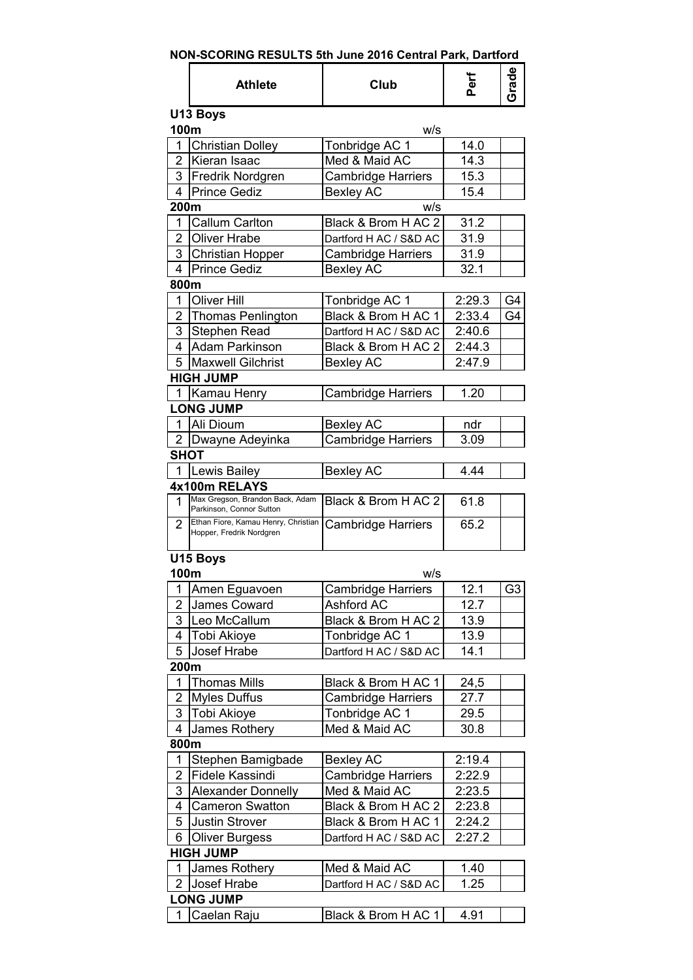| NON-SCORING RESULTS 5th June 2016 Central Park, Dartford |  |  |  |  |  |  |
|----------------------------------------------------------|--|--|--|--|--|--|
|----------------------------------------------------------|--|--|--|--|--|--|

|                | Athlete                                                         | Club                      | ኮeተ<br>ደ | Grade          |
|----------------|-----------------------------------------------------------------|---------------------------|----------|----------------|
| 100m           | U13 Boys                                                        | W/S                       |          |                |
| 1              | <b>Christian Dolley</b>                                         | Tonbridge AC 1            | 14.0     |                |
| $\overline{2}$ | Kieran Isaac                                                    | Med & Maid AC             | 14.3     |                |
| 3              | Fredrik Nordgren                                                | <b>Cambridge Harriers</b> | 15.3     |                |
| 4              | <b>Prince Gediz</b>                                             | <b>Bexley AC</b>          | 15.4     |                |
| 200m           |                                                                 | w/s                       |          |                |
| 1              | <b>Callum Carlton</b>                                           | Black & Brom H AC 2       | 31.2     |                |
| 2              | <b>Oliver Hrabe</b>                                             | Dartford H AC / S&D AC    | 31.9     |                |
| 3              | <b>Christian Hopper</b>                                         | <b>Cambridge Harriers</b> | 31.9     |                |
| 4              | <b>Prince Gediz</b>                                             | <b>Bexley AC</b>          | 32.1     |                |
| 800m           |                                                                 |                           |          |                |
| 1              | <b>Oliver Hill</b>                                              | Tonbridge AC 1            | 2:29.3   | G4             |
| 2              | <b>Thomas Penlington</b>                                        | Black & Brom H AC 1       | 2:33.4   | G4             |
| 3              | Stephen Read                                                    | Dartford H AC / S&D AC    | 2:40.6   |                |
| 4              | <b>Adam Parkinson</b>                                           | Black & Brom H AC 2       | 2:44.3   |                |
| 5              | <b>Maxwell Gilchrist</b>                                        | <b>Bexley AC</b>          | 2:47.9   |                |
|                | <b>HIGH JUMP</b>                                                |                           |          |                |
| 1              | Kamau Henry                                                     | <b>Cambridge Harriers</b> | 1.20     |                |
|                | <b>LONG JUMP</b>                                                |                           |          |                |
| 1              | Ali Dioum                                                       | <b>Bexley AC</b>          | ndr      |                |
| 2              | Dwayne Adeyinka                                                 | <b>Cambridge Harriers</b> | 3.09     |                |
| <b>SHOT</b>    |                                                                 |                           |          |                |
| 1              | Lewis Bailey                                                    | <b>Bexley AC</b>          | 4.44     |                |
|                | 4x100m RELAYS                                                   |                           |          |                |
| 1              | Max Gregson, Brandon Back, Adam<br>Parkinson, Connor Sutton     | Black & Brom H AC 2       | 61.8     |                |
| 2              | Ethan Fiore, Kamau Henry, Christian<br>Hopper, Fredrik Nordgren | <b>Cambridge Harriers</b> | 65.2     |                |
|                | U15 Boys                                                        |                           |          |                |
| 100m           |                                                                 | w/s                       |          |                |
| 1              | Amen Eguavoen                                                   | <b>Cambridge Harriers</b> | 12.1     | G <sub>3</sub> |
| 2              | James Coward                                                    | <b>Ashford AC</b>         | 12.7     |                |
| 3              | Leo McCallum                                                    | Black & Brom H AC 2       | 13.9     |                |
| 4              | Tobi Akioye                                                     | Tonbridge AC 1            | 13.9     |                |
| 5              | Josef Hrabe                                                     | Dartford H AC / S&D AC    | 14.1     |                |
| 200m           |                                                                 |                           |          |                |
| 1              | <b>Thomas Mills</b>                                             | Black & Brom H AC 1       | 24,5     |                |
| $\overline{2}$ | <b>Myles Duffus</b>                                             | <b>Cambridge Harriers</b> | 27.7     |                |
| 3              | Tobi Akioye                                                     | Tonbridge AC 1            | 29.5     |                |
| 4              | James Rothery                                                   | Med & Maid AC             | 30.8     |                |
| 800m           |                                                                 |                           |          |                |
| 1              | Stephen Bamigbade                                               | <b>Bexley AC</b>          | 2:19.4   |                |
| $\overline{2}$ | Fidele Kassindi                                                 | <b>Cambridge Harriers</b> | 2:22.9   |                |
| 3              | <b>Alexander Donnelly</b>                                       | Med & Maid AC             | 2:23.5   |                |
| 4              | <b>Cameron Swatton</b>                                          | Black & Brom H AC 2       | 2:23.8   |                |
| 5              | <b>Justin Strover</b>                                           | Black & Brom H AC 1       | 2:24.2   |                |
| 6              | <b>Oliver Burgess</b>                                           | Dartford H AC / S&D AC    | 2:27.2   |                |
|                | <b>HIGH JUMP</b>                                                |                           |          |                |
| 1              | James Rothery                                                   | Med & Maid AC             | 1.40     |                |
| $\overline{2}$ | Josef Hrabe                                                     | Dartford H AC / S&D AC    | 1.25     |                |
|                | <b>LONG JUMP</b>                                                |                           |          |                |
| 1              | Caelan Raju                                                     | Black & Brom H AC 1       | 4.91     |                |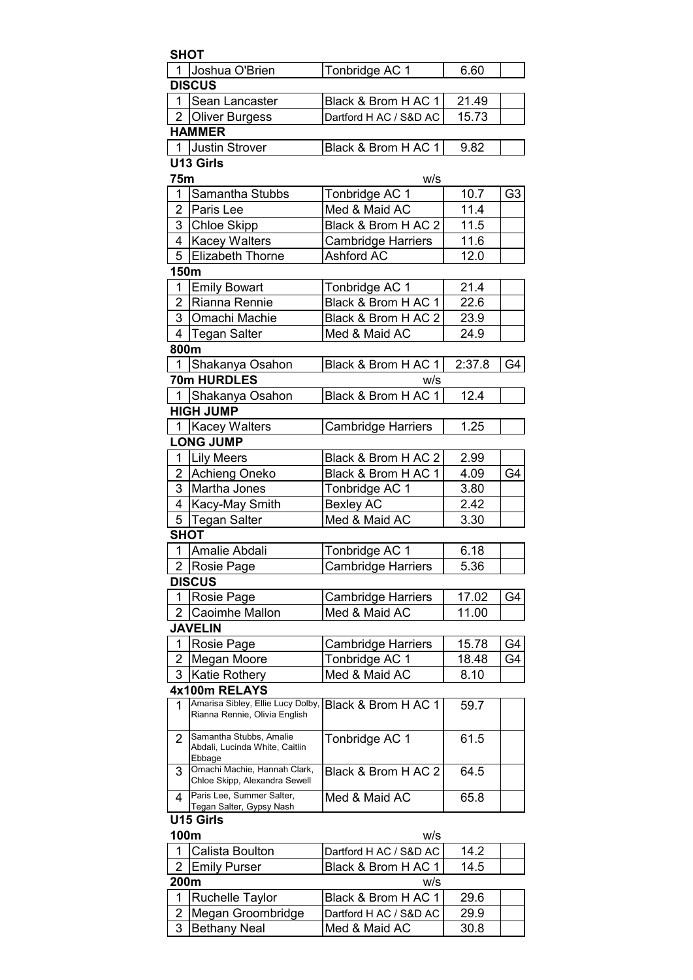|                          | SHOT                                                                    |                           |        |                |  |  |  |
|--------------------------|-------------------------------------------------------------------------|---------------------------|--------|----------------|--|--|--|
| $\mathbf{1}$             | Joshua O'Brien                                                          | Tonbridge AC 1            | 6.60   |                |  |  |  |
|                          | <b>DISCUS</b>                                                           |                           |        |                |  |  |  |
| 1                        | Sean Lancaster                                                          | Black & Brom H AC 1       | 21.49  |                |  |  |  |
| $\overline{2}$           | <b>Oliver Burgess</b>                                                   | Dartford H AC / S&D AC    | 15.73  |                |  |  |  |
|                          | <b>HAMMER</b>                                                           |                           |        |                |  |  |  |
| $\mathbf{1}$             | Justin Strover                                                          | Black & Brom H AC 1       | 9.82   |                |  |  |  |
|                          | U13 Girls                                                               |                           |        |                |  |  |  |
| 75m                      |                                                                         | W/S                       |        |                |  |  |  |
| 1                        | Samantha Stubbs                                                         | Tonbridge AC 1            | 10.7   | G <sub>3</sub> |  |  |  |
| $\overline{2}$           | Paris Lee                                                               | Med & Maid AC             | 11.4   |                |  |  |  |
| 3                        | Chloe Skipp                                                             | Black & Brom H AC 2       | 11.5   |                |  |  |  |
| 4                        | <b>Kacey Walters</b>                                                    | <b>Cambridge Harriers</b> | 11.6   |                |  |  |  |
| 5                        | <b>Elizabeth Thorne</b>                                                 | <b>Ashford AC</b>         | 12.0   |                |  |  |  |
| 150m                     |                                                                         |                           |        |                |  |  |  |
| 1                        | Emily Bowart                                                            | Tonbridge AC 1            | 21.4   |                |  |  |  |
| $\overline{2}$           | Rianna Rennie                                                           | Black & Brom H AC 1       | 22.6   |                |  |  |  |
| 3                        | Omachi Machie                                                           | Black & Brom H AC 2       | 23.9   |                |  |  |  |
| 4                        | Tegan Salter                                                            | Med & Maid AC             | 24.9   |                |  |  |  |
| 800m                     |                                                                         |                           |        |                |  |  |  |
| 1                        | Shakanya Osahon                                                         | Black & Brom H AC 1       | 2:37.8 | G4             |  |  |  |
|                          | 70m HURDLES                                                             | W/S                       |        |                |  |  |  |
| $\mathbf 1$              | Shakanya Osahon                                                         | Black & Brom H AC 1       | 12.4   |                |  |  |  |
|                          | <b>HIGH JUMP</b>                                                        |                           |        |                |  |  |  |
| $\mathbf 1$              | <b>Kacey Walters</b>                                                    | <b>Cambridge Harriers</b> | 1.25   |                |  |  |  |
|                          | <b>LONG JUMP</b>                                                        |                           |        |                |  |  |  |
| 1                        | <b>Lily Meers</b>                                                       | Black & Brom H AC 2       | 2.99   |                |  |  |  |
| $\overline{2}$           | Achieng Oneko                                                           | Black & Brom H AC 1       | 4.09   | G4             |  |  |  |
| 3                        | Martha Jones                                                            | Tonbridge AC 1            | 3.80   |                |  |  |  |
| 4                        | Kacy-May Smith                                                          | <b>Bexley AC</b>          | 2.42   |                |  |  |  |
| 5                        | <b>Tegan Salter</b>                                                     | Med & Maid AC             | 3.30   |                |  |  |  |
|                          | <b>SHOT</b>                                                             |                           |        |                |  |  |  |
| 1                        | Amalie Abdali                                                           | Tonbridge AC 1            | 6.18   |                |  |  |  |
| $\overline{2}$           | Rosie Page                                                              | Cambridge Harriers        | 5.36   |                |  |  |  |
|                          | <b>DISCUS</b>                                                           |                           |        |                |  |  |  |
| 1                        | Rosie Page                                                              | Cambridge Harriers        | 17.02  | G4             |  |  |  |
| 2                        | Caoimhe Mallon                                                          | Med & Maid AC             | 11.00  |                |  |  |  |
|                          | <b>JAVELIN</b>                                                          |                           |        |                |  |  |  |
| 1                        | Rosie Page                                                              | <b>Cambridge Harriers</b> | 15.78  | G4             |  |  |  |
| 2                        | Megan Moore                                                             | Tonbridge AC 1            | 18.48  | G4             |  |  |  |
| 3                        | Katie Rothery                                                           | Med & Maid AC             | 8.10   |                |  |  |  |
|                          | 4x100m RELAYS                                                           |                           |        |                |  |  |  |
| 1                        | Amarisa Sibley, Ellie Lucy Dolby,<br>Rianna Rennie, Olivia English      | Black & Brom H AC 1       | 59.7   |                |  |  |  |
| 2                        | Samantha Stubbs, Amalie<br>Abdali, Lucinda White, Caitlin               | Tonbridge AC 1            | 61.5   |                |  |  |  |
| 3                        | Ebbage<br>Omachi Machie, Hannah Clark,<br>Chloe Skipp, Alexandra Sewell | Black & Brom H AC 2       | 64.5   |                |  |  |  |
| 4                        | Paris Lee, Summer Salter,<br>Tegan Salter, Gypsy Nash                   | Med & Maid AC             | 65.8   |                |  |  |  |
| U15 Girls<br>100m<br>w/s |                                                                         |                           |        |                |  |  |  |
| 1                        | Calista Boulton                                                         | Dartford H AC / S&D AC    | 14.2   |                |  |  |  |
| $\overline{2}$           | <b>Emily Purser</b>                                                     | Black & Brom H AC 1       | 14.5   |                |  |  |  |
| 200m                     |                                                                         | w/s                       |        |                |  |  |  |
| 1                        | Ruchelle Taylor                                                         | Black & Brom H AC 1       | 29.6   |                |  |  |  |
| $\overline{2}$           | Megan Groombridge                                                       | Dartford H AC / S&D AC    | 29.9   |                |  |  |  |
|                          |                                                                         |                           |        |                |  |  |  |

3 Bethany Neal Med & Maid AC | 30.8

**SHOT**